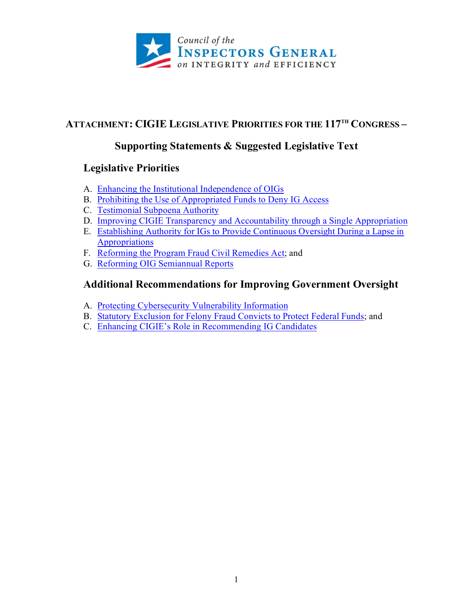

## **ATTACHMENT: CIGIE LEGISLATIVE PRIORITIES FOR THE 117TH CONGRESS –**

## **Supporting Statements & Suggested Legislative Text**

## **Legislative Priorities**

- A. [Enhancing the Institutional Independence of OIGs](#page-1-0)
- B. [Prohibiting the Use of Appropriated Funds to Deny IG Access](#page-5-0)
- C. [Testimonial Subpoena Authority](#page-9-0)
- D. [Improving CIGIE Transparency and Accountability through a Single Appropriation](#page-11-0)
- E. [Establishing Authority for IGs to Provide Continuous Oversight During a Lapse in](#page-14-0)  [Appropriations](#page-14-0)
- F. [Reforming the Program Fraud Civil Remedies Act;](#page-15-0) and
- G. [Reforming OIG Semiannual Reports](#page-24-0)

## **Additional Recommendations for Improving Government Oversight**

- A. [Protecting Cybersecurity Vulnerability Information](#page-33-0)
- B. [Statutory Exclusion for Felony Fraud Convicts to Protect Federal Funds;](#page-34-0) and
- C. [Enhancing CIGIE's Role in Recommending IG Candidates](#page-38-0)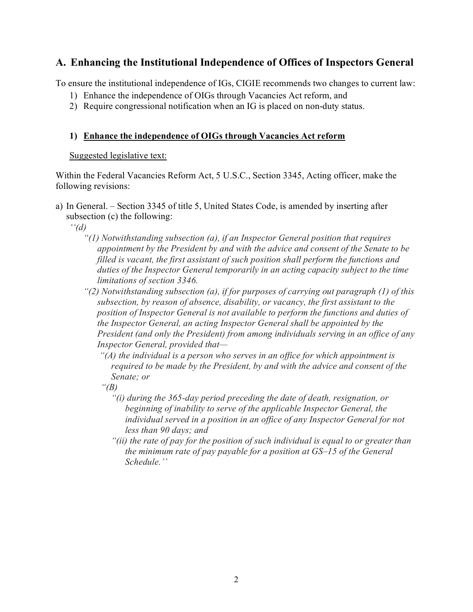## <span id="page-1-0"></span>**A. Enhancing the Institutional Independence of Offices of Inspectors General**

To ensure the institutional independence of IGs, CIGIE recommends two changes to current law:

- 1) Enhance the independence of OIGs through Vacancies Act reform, and
- 2) Require congressional notification when an IG is placed on non-duty status.

## **1) Enhance the independence of OIGs through Vacancies Act reform**

## Suggested legislative text:

Within the Federal Vacancies Reform Act, 5 U.S.C., Section 3345, Acting officer, make the following revisions:

a) In General. – Section 3345 of title 5, United States Code, is amended by inserting after subsection (c) the following:

*''(d)*

- *"(1) Notwithstanding subsection (a), if an Inspector General position that requires appointment by the President by and with the advice and consent of the Senate to be filled is vacant, the first assistant of such position shall perform the functions and duties of the Inspector General temporarily in an acting capacity subject to the time limitations of section 3346.*
- *"(2) Notwithstanding subsection (a), if for purposes of carrying out paragraph (1) of this subsection, by reason of absence, disability, or vacancy, the first assistant to the position of Inspector General is not available to perform the functions and duties of the Inspector General, an acting Inspector General shall be appointed by the President (and only the President) from among individuals serving in an office of any Inspector General, provided that—*
	- *"(A) the individual is a person who serves in an office for which appointment is required to be made by the President, by and with the advice and consent of the Senate; or*

*"(B)* 

- *"(i) during the 365-day period preceding the date of death, resignation, or beginning of inability to serve of the applicable Inspector General, the individual served in a position in an office of any Inspector General for not less than 90 days; and*
- *"(ii) the rate of pay for the position of such individual is equal to or greater than the minimum rate of pay payable for a position at GS–15 of the General Schedule.''*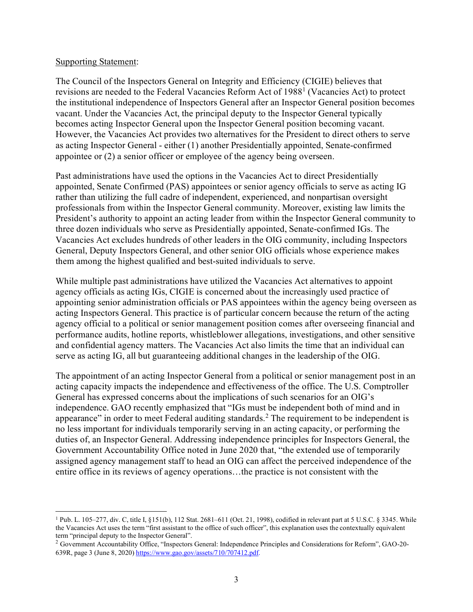#### Supporting Statement:

The Council of the Inspectors General on Integrity and Efficiency (CIGIE) believes that revisions are needed to the Federal Vacancies Reform Act of 1988[1](#page-2-0) (Vacancies Act) to protect the institutional independence of Inspectors General after an Inspector General position becomes vacant. Under the Vacancies Act, the principal deputy to the Inspector General typically becomes acting Inspector General upon the Inspector General position becoming vacant. However, the Vacancies Act provides two alternatives for the President to direct others to serve as acting Inspector General - either (1) another Presidentially appointed, Senate-confirmed appointee or (2) a senior officer or employee of the agency being overseen.

Past administrations have used the options in the Vacancies Act to direct Presidentially appointed, Senate Confirmed (PAS) appointees or senior agency officials to serve as acting IG rather than utilizing the full cadre of independent, experienced, and nonpartisan oversight professionals from within the Inspector General community. Moreover, existing law limits the President's authority to appoint an acting leader from within the Inspector General community to three dozen individuals who serve as Presidentially appointed, Senate-confirmed IGs. The Vacancies Act excludes hundreds of other leaders in the OIG community, including Inspectors General, Deputy Inspectors General, and other senior OIG officials whose experience makes them among the highest qualified and best-suited individuals to serve.

While multiple past administrations have utilized the Vacancies Act alternatives to appoint agency officials as acting IGs, CIGIE is concerned about the increasingly used practice of appointing senior administration officials or PAS appointees within the agency being overseen as acting Inspectors General. This practice is of particular concern because the return of the acting agency official to a political or senior management position comes after overseeing financial and performance audits, hotline reports, whistleblower allegations, investigations, and other sensitive and confidential agency matters. The Vacancies Act also limits the time that an individual can serve as acting IG, all but guaranteeing additional changes in the leadership of the OIG.

The appointment of an acting Inspector General from a political or senior management post in an acting capacity impacts the independence and effectiveness of the office. The U.S. Comptroller General has expressed concerns about the implications of such scenarios for an OIG's independence. GAO recently emphasized that "IGs must be independent both of mind and in appearance" in order to meet Federal auditing standards.<sup>[2](#page-2-1)</sup> The requirement to be independent is no less important for individuals temporarily serving in an acting capacity, or performing the duties of, an Inspector General. Addressing independence principles for Inspectors General, the Government Accountability Office noted in June 2020 that, "the extended use of temporarily assigned agency management staff to head an OIG can affect the perceived independence of the entire office in its reviews of agency operations…the practice is not consistent with the

<span id="page-2-0"></span><sup>&</sup>lt;sup>1</sup> Pub. L. 105–277, div. C, title I, §151(b), 112 Stat. 2681–611 (Oct. 21, 1998), codified in relevant part at 5 U.S.C. § 3345. While the Vacancies Act uses the term "first assistant to the office of such officer", this explanation uses the contextually equivalent term "principal deputy to the Inspector General".

<span id="page-2-1"></span><sup>2</sup> Government Accountability Office, "Inspectors General: Independence Principles and Considerations for Reform", GAO-20- 639R, page 3 (June 8, 2020) [https://www.gao.gov/assets/710/707412.pdf.](https://www.gao.gov/assets/710/707412.pdf)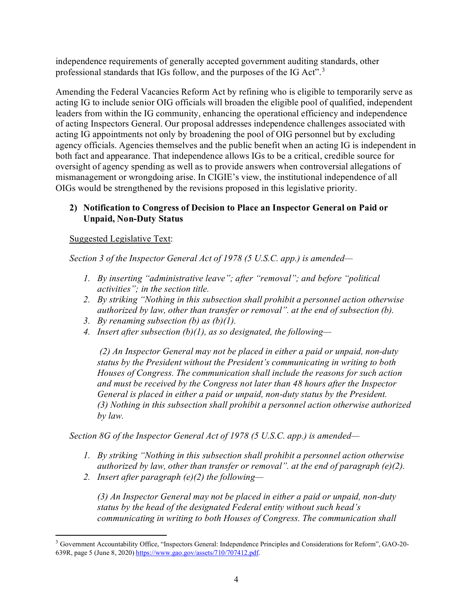independence requirements of generally accepted government auditing standards, other professional standards that IGs follow, and the purposes of the IG Act".<sup>[3](#page-3-0)</sup>

Amending the Federal Vacancies Reform Act by refining who is eligible to temporarily serve as acting IG to include senior OIG officials will broaden the eligible pool of qualified, independent leaders from within the IG community, enhancing the operational efficiency and independence of acting Inspectors General. Our proposal addresses independence challenges associated with acting IG appointments not only by broadening the pool of OIG personnel but by excluding agency officials. Agencies themselves and the public benefit when an acting IG is independent in both fact and appearance. That independence allows IGs to be a critical, credible source for oversight of agency spending as well as to provide answers when controversial allegations of mismanagement or wrongdoing arise. In CIGIE's view, the institutional independence of all OIGs would be strengthened by the revisions proposed in this legislative priority.

## **2) Notification to Congress of Decision to Place an Inspector General on Paid or Unpaid, Non-Duty Status**

Suggested Legislative Text:

*Section 3 of the Inspector General Act of 1978 (5 U.S.C. app.) is amended—*

- *1. By inserting "administrative leave"; after "removal"; and before "political activities"; in the section title.*
- *2. By striking "Nothing in this subsection shall prohibit a personnel action otherwise authorized by law, other than transfer or removal". at the end of subsection (b).*
- *3. By renaming subsection (b) as (b)(1).*
- *4. Insert after subsection (b)(1), as so designated, the following—*

*(2) An Inspector General may not be placed in either a paid or unpaid, non-duty status by the President without the President's communicating in writing to both Houses of Congress. The communication shall include the reasons for such action and must be received by the Congress not later than 48 hours after the Inspector General is placed in either a paid or unpaid, non-duty status by the President. (3) Nothing in this subsection shall prohibit a personnel action otherwise authorized by law.*

*Section 8G of the Inspector General Act of 1978 (5 U.S.C. app.) is amended—*

- *1. By striking "Nothing in this subsection shall prohibit a personnel action otherwise authorized by law, other than transfer or removal". at the end of paragraph (e)(2).*
- *2. Insert after paragraph (e)(2) the following—*

*(3) An Inspector General may not be placed in either a paid or unpaid, non-duty status by the head of the designated Federal entity without such head's communicating in writing to both Houses of Congress. The communication shall* 

<span id="page-3-0"></span><sup>3</sup> Government Accountability Office, "Inspectors General: Independence Principles and Considerations for Reform", GAO-20- 639R, page 5 (June 8, 2020) [https://www.gao.gov/assets/710/707412.pdf.](https://www.gao.gov/assets/710/707412.pdf)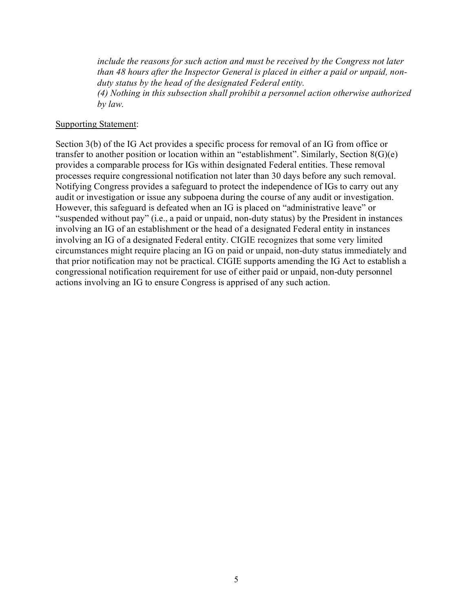*include the reasons for such action and must be received by the Congress not later than 48 hours after the Inspector General is placed in either a paid or unpaid, nonduty status by the head of the designated Federal entity.*

*(4) Nothing in this subsection shall prohibit a personnel action otherwise authorized by law.*

#### Supporting Statement:

Section 3(b) of the IG Act provides a specific process for removal of an IG from office or transfer to another position or location within an "establishment". Similarly, Section 8(G)(e) provides a comparable process for IGs within designated Federal entities. These removal processes require congressional notification not later than 30 days before any such removal. Notifying Congress provides a safeguard to protect the independence of IGs to carry out any audit or investigation or issue any subpoena during the course of any audit or investigation. However, this safeguard is defeated when an IG is placed on "administrative leave" or "suspended without pay" (i.e., a paid or unpaid, non-duty status) by the President in instances involving an IG of an establishment or the head of a designated Federal entity in instances involving an IG of a designated Federal entity. CIGIE recognizes that some very limited circumstances might require placing an IG on paid or unpaid, non-duty status immediately and that prior notification may not be practical. CIGIE supports amending the IG Act to establish a congressional notification requirement for use of either paid or unpaid, non-duty personnel actions involving an IG to ensure Congress is apprised of any such action.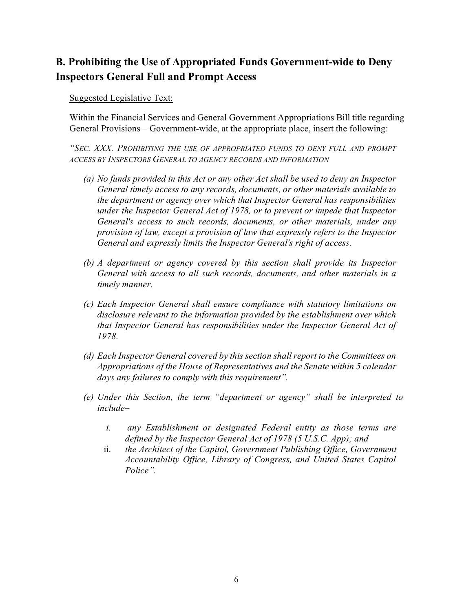## <span id="page-5-0"></span>**B. Prohibiting the Use of Appropriated Funds Government-wide to Deny Inspectors General Full and Prompt Access**

Suggested Legislative Text:

Within the Financial Services and General Government Appropriations Bill title regarding General Provisions – Government-wide, at the appropriate place, insert the following:

*"SEC. XXX. PROHIBITING THE USE OF APPROPRIATED FUNDS TO DENY FULL AND PROMPT ACCESS BY INSPECTORS GENERAL TO AGENCY RECORDS AND INFORMATION*

- *(a) No funds provided in this Act or any other Act shall be used to deny an Inspector General timely access to any records, documents, or other materials available to the department or agency over which that Inspector General has responsibilities under the Inspector General Act of 1978, or to prevent or impede that Inspector General's access to such records, documents, or other materials, under any provision of law, except a provision of law that expressly refers to the Inspector General and expressly limits the Inspector General's right of access.*
- *(b) A department or agency covered by this section shall provide its Inspector General with access to all such records, documents, and other materials in a timely manner.*
- *(c) Each Inspector General shall ensure compliance with statutory limitations on disclosure relevant to the information provided by the establishment over which that Inspector General has responsibilities under the Inspector General Act of 1978.*
- *(d) Each Inspector General covered by this section shall report to the Committees on Appropriations of the House of Representatives and the Senate within 5 calendar days any failures to comply with this requirement".*
- *(e) Under this Section, the term "department or agency" shall be interpreted to include–*
	- *i. any Establishment or designated Federal entity as those terms are defined by the Inspector General Act of 1978 (5 U.S.C. App); and*
	- ii. *the Architect of the Capitol, Government Publishing Office, Government Accountability Office, Library of Congress, and United States Capitol Police".*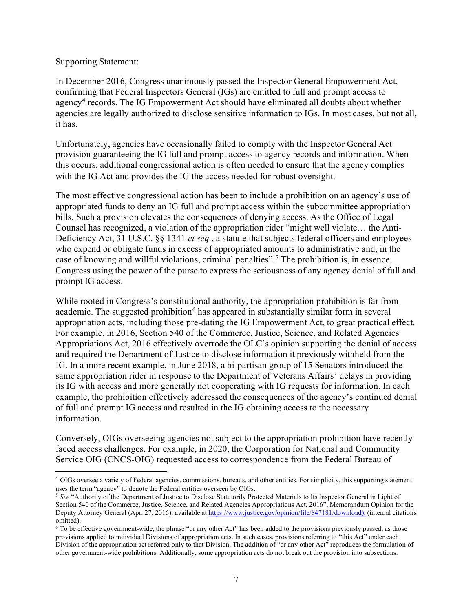#### Supporting Statement:

In December 2016, Congress unanimously passed the Inspector General Empowerment Act, confirming that Federal Inspectors General (IGs) are entitled to full and prompt access to agency[4](#page-6-0) records. The IG Empowerment Act should have eliminated all doubts about whether agencies are legally authorized to disclose sensitive information to IGs. In most cases, but not all, it has.

Unfortunately, agencies have occasionally failed to comply with the Inspector General Act provision guaranteeing the IG full and prompt access to agency records and information. When this occurs, additional congressional action is often needed to ensure that the agency complies with the IG Act and provides the IG the access needed for robust oversight.

The most effective congressional action has been to include a prohibition on an agency's use of appropriated funds to deny an IG full and prompt access within the subcommittee appropriation bills. Such a provision elevates the consequences of denying access. As the Office of Legal Counsel has recognized, a violation of the appropriation rider "might well violate… the Anti-Deficiency Act, 31 U.S.C. §§ 1341 *et seq.*, a statute that subjects federal officers and employees who expend or obligate funds in excess of appropriated amounts to administrative and, in the case of knowing and willful violations, criminal penalties". [5](#page-6-1) The prohibition is, in essence, Congress using the power of the purse to express the seriousness of any agency denial of full and prompt IG access.

While rooted in Congress's constitutional authority, the appropriation prohibition is far from academic. The suggested prohibition<sup>[6](#page-6-2)</sup> has appeared in substantially similar form in several appropriation acts, including those pre-dating the IG Empowerment Act, to great practical effect. For example, in 2016, Section 540 of the Commerce, Justice, Science, and Related Agencies Appropriations Act, 2016 effectively overrode the OLC's opinion supporting the denial of access and required the Department of Justice to disclose information it previously withheld from the IG. In a more recent example, in June 2018, a bi-partisan group of 15 Senators introduced the same appropriation rider in response to the Department of Veterans Affairs' delays in providing its IG with access and more generally not cooperating with IG requests for information. In each example, the prohibition effectively addressed the consequences of the agency's continued denial of full and prompt IG access and resulted in the IG obtaining access to the necessary information.

Conversely, OIGs overseeing agencies not subject to the appropriation prohibition have recently faced access challenges. For example, in 2020, the Corporation for National and Community Service OIG (CNCS-OIG) requested access to correspondence from the Federal Bureau of

<span id="page-6-0"></span><sup>&</sup>lt;sup>4</sup> OIGs oversee a variety of Federal agencies, commissions, bureaus, and other entities. For simplicity, this supporting statement uses the term "agency" to denote the Federal entities overseen by OIGs.

<span id="page-6-1"></span><sup>&</sup>lt;sup>5</sup> See "Authority of the Department of Justice to Disclose Statutorily Protected Materials to Its Inspector General in Light of Section 540 of the Commerce, Justice, Science, and Related Agencies Appropriations Act, 2016", Memorandum Opinion for the Deputy Attorney General (Apr. 27, 2016); available at [https://www.justice.gov/opinion/file/847181/download\).](https://www.justice.gov/opinion/file/847181/download).(internal) (internal citations omitted).

<span id="page-6-2"></span> $6$  To be effective government-wide, the phrase "or any other Act" has been added to the provisions previously passed, as those provisions applied to individual Divisions of appropriation acts. In such cases, provisions referring to "this Act" under each Division of the appropriation act referred only to that Division. The addition of "or any other Act" reproduces the formulation of other government-wide prohibitions. Additionally, some appropriation acts do not break out the provision into subsections.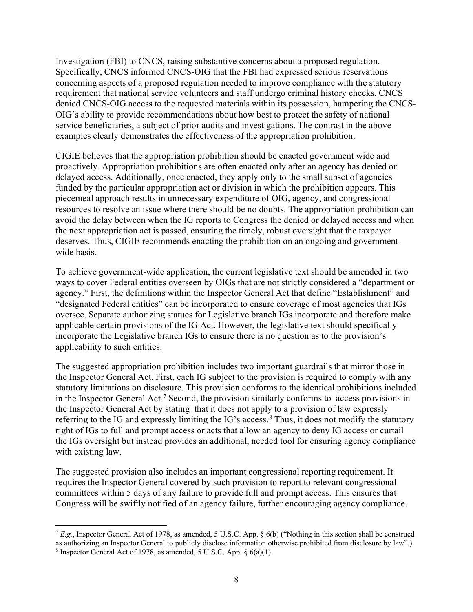Investigation (FBI) to CNCS, raising substantive concerns about a proposed regulation. Specifically, CNCS informed CNCS-OIG that the FBI had expressed serious reservations concerning aspects of a proposed regulation needed to improve compliance with the statutory requirement that national service volunteers and staff undergo criminal history checks. CNCS denied CNCS-OIG access to the requested materials within its possession, hampering the CNCS-OIG's ability to provide recommendations about how best to protect the safety of national service beneficiaries, a subject of prior audits and investigations. The contrast in the above examples clearly demonstrates the effectiveness of the appropriation prohibition.

CIGIE believes that the appropriation prohibition should be enacted government wide and proactively. Appropriation prohibitions are often enacted only after an agency has denied or delayed access. Additionally, once enacted, they apply only to the small subset of agencies funded by the particular appropriation act or division in which the prohibition appears. This piecemeal approach results in unnecessary expenditure of OIG, agency, and congressional resources to resolve an issue where there should be no doubts. The appropriation prohibition can avoid the delay between when the IG reports to Congress the denied or delayed access and when the next appropriation act is passed, ensuring the timely, robust oversight that the taxpayer deserves. Thus, CIGIE recommends enacting the prohibition on an ongoing and governmentwide basis.

To achieve government-wide application, the current legislative text should be amended in two ways to cover Federal entities overseen by OIGs that are not strictly considered a "department or agency." First, the definitions within the Inspector General Act that define "Establishment" and "designated Federal entities" can be incorporated to ensure coverage of most agencies that IGs oversee. Separate authorizing statues for Legislative branch IGs incorporate and therefore make applicable certain provisions of the IG Act. However, the legislative text should specifically incorporate the Legislative branch IGs to ensure there is no question as to the provision's applicability to such entities.

The suggested appropriation prohibition includes two important guardrails that mirror those in the Inspector General Act. First, each IG subject to the provision is required to comply with any statutory limitations on disclosure. This provision conforms to the identical prohibitions included in the Inspector General Act[.7](#page-7-0) Second, the provision similarly conforms to access provisions in the Inspector General Act by stating that it does not apply to a provision of law expressly referring to the IG and expressly limiting the IG's access.<sup>[8](#page-7-1)</sup> Thus, it does not modify the statutory right of IGs to full and prompt access or acts that allow an agency to deny IG access or curtail the IGs oversight but instead provides an additional, needed tool for ensuring agency compliance with existing law.

The suggested provision also includes an important congressional reporting requirement. It requires the Inspector General covered by such provision to report to relevant congressional committees within 5 days of any failure to provide full and prompt access. This ensures that Congress will be swiftly notified of an agency failure, further encouraging agency compliance.

<span id="page-7-0"></span><sup>7</sup> *E.g.*, Inspector General Act of 1978, as amended, 5 U.S.C. App. § 6(b) ("Nothing in this section shall be construed as authorizing an Inspector General to publicly disclose information otherwise prohibited from disclosure by law".).

<span id="page-7-1"></span><sup>8</sup> Inspector General Act of 1978, as amended, 5 U.S.C. App. § 6(a)(1).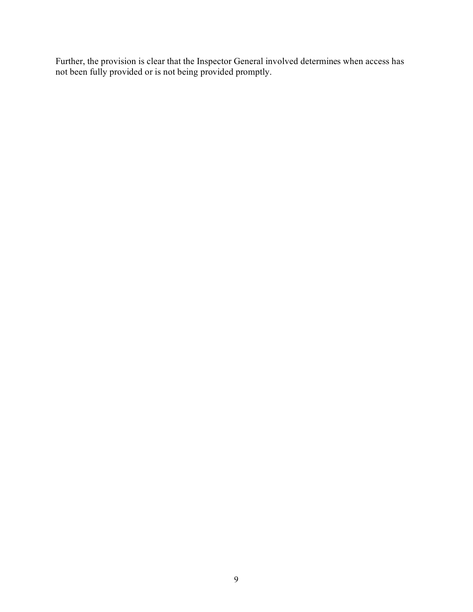Further, the provision is clear that the Inspector General involved determines when access has not been fully provided or is not being provided promptly.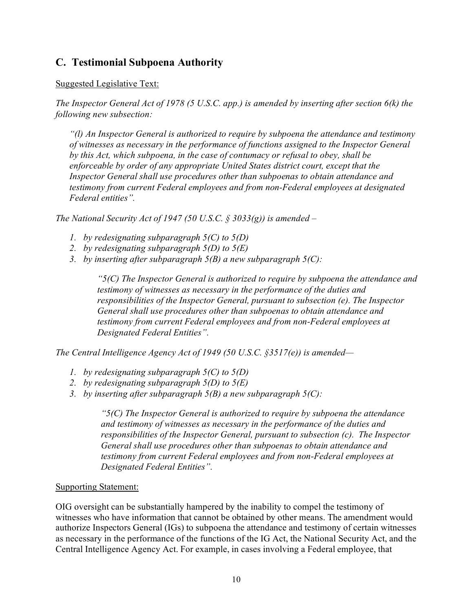## <span id="page-9-0"></span>**C. Testimonial Subpoena Authority**

## Suggested Legislative Text:

*The Inspector General Act of 1978 (5 U.S.C. app.) is amended by inserting after section 6(k) the following new subsection:*

*"(l) An Inspector General is authorized to require by subpoena the attendance and testimony of witnesses as necessary in the performance of functions assigned to the Inspector General by this Act, which subpoena, in the case of contumacy or refusal to obey, shall be enforceable by order of any appropriate United States district court, except that the Inspector General shall use procedures other than subpoenas to obtain attendance and testimony from current Federal employees and from non-Federal employees at designated Federal entities".*

*The National Security Act of 1947 (50 U.S.C. § 3033(g)) is amended –*

- *1. by redesignating subparagraph 5(C) to 5(D)*
- *2. by redesignating subparagraph 5(D) to 5(E)*
- *3. by inserting after subparagraph 5(B) a new subparagraph 5(C):*

*"5(C) The Inspector General is authorized to require by subpoena the attendance and testimony of witnesses as necessary in the performance of the duties and responsibilities of the Inspector General, pursuant to subsection (e). The Inspector General shall use procedures other than subpoenas to obtain attendance and testimony from current Federal employees and from non-Federal employees at Designated Federal Entities".*

*The Central Intelligence Agency Act of 1949 (50 U.S.C. §3517(e)) is amended—*

- *1. by redesignating subparagraph 5(C) to 5(D)*
- *2. by redesignating subparagraph 5(D) to 5(E)*
- *3. by inserting after subparagraph 5(B) a new subparagraph 5(C):*

*"5(C) The Inspector General is authorized to require by subpoena the attendance and testimony of witnesses as necessary in the performance of the duties and responsibilities of the Inspector General, pursuant to subsection (c). The Inspector General shall use procedures other than subpoenas to obtain attendance and testimony from current Federal employees and from non-Federal employees at Designated Federal Entities".*

## Supporting Statement:

OIG oversight can be substantially hampered by the inability to compel the testimony of witnesses who have information that cannot be obtained by other means. The amendment would authorize Inspectors General (IGs) to subpoena the attendance and testimony of certain witnesses as necessary in the performance of the functions of the IG Act, the National Security Act, and the Central Intelligence Agency Act. For example, in cases involving a Federal employee, that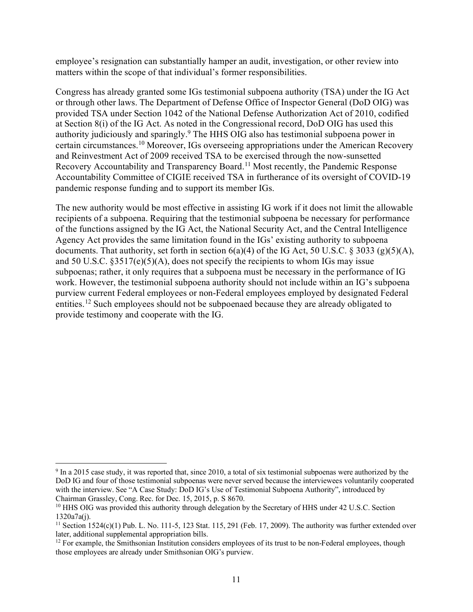employee's resignation can substantially hamper an audit, investigation, or other review into matters within the scope of that individual's former responsibilities.

Congress has already granted some IGs testimonial subpoena authority (TSA) under the IG Act or through other laws. The Department of Defense Office of Inspector General (DoD OIG) was provided TSA under Section 1042 of the National Defense Authorization Act of 2010, codified at Section 8(i) of the IG Act. As noted in the Congressional record, DoD OIG has used this authority judiciously and sparingly[.9](#page-10-0) The HHS OIG also has testimonial subpoena power in certain circumstances[.10](#page-10-1) Moreover, IGs overseeing appropriations under the American Recovery and Reinvestment Act of 2009 received TSA to be exercised through the now-sunsetted Recovery Accountability and Transparency Board.[11](#page-10-2) Most recently, the Pandemic Response Accountability Committee of CIGIE received TSA in furtherance of its oversight of COVID-19 pandemic response funding and to support its member IGs.

The new authority would be most effective in assisting IG work if it does not limit the allowable recipients of a subpoena. Requiring that the testimonial subpoena be necessary for performance of the functions assigned by the IG Act, the National Security Act, and the Central Intelligence Agency Act provides the same limitation found in the IGs' existing authority to subpoena documents. That authority, set forth in section  $6(a)(4)$  of the IG Act, 50 U.S.C. § 3033 (g)(5)(A), and 50 U.S.C.  $\S 3517(e)(5)(A)$ , does not specify the recipients to whom IGs may issue subpoenas; rather, it only requires that a subpoena must be necessary in the performance of IG work. However, the testimonial subpoena authority should not include within an IG's subpoena purview current Federal employees or non-Federal employees employed by designated Federal entities.<sup>[12](#page-10-3)</sup> Such employees should not be subpoenaed because they are already obligated to provide testimony and cooperate with the IG.

<span id="page-10-0"></span> $9$  In a 2015 case study, it was reported that, since 2010, a total of six testimonial subpoenas were authorized by the DoD IG and four of those testimonial subpoenas were never served because the interviewees voluntarily cooperated with the interview. See "A Case Study: DoD IG's Use of Testimonial Subpoena Authority", introduced by Chairman Grassley, Cong. Rec. for Dec. 15, 2015, p. S 8670.

<span id="page-10-1"></span><sup>&</sup>lt;sup>10</sup> HHS OIG was provided this authority through delegation by the Secretary of HHS under 42 U.S.C. Section 1320a7a(j).

<span id="page-10-2"></span><sup>&</sup>lt;sup>11</sup> Section 1524(c)(1) Pub. L. No. 111-5, 123 Stat. 115, 291 (Feb. 17, 2009). The authority was further extended over later, additional supplemental appropriation bills.

<span id="page-10-3"></span><sup>&</sup>lt;sup>12</sup> For example, the Smithsonian Institution considers employees of its trust to be non-Federal employees, though those employees are already under Smithsonian OIG's purview.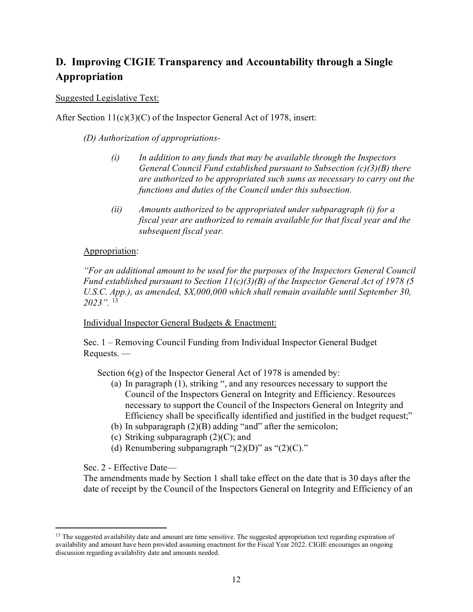# <span id="page-11-0"></span>**D. Improving CIGIE Transparency and Accountability through a Single Appropriation**

#### Suggested Legislative Text:

After Section 11(c)(3)(C) of the Inspector General Act of 1978, insert:

*(D) Authorization of appropriations-*

- *(i) In addition to any funds that may be available through the Inspectors General Council Fund established pursuant to Subsection (c)(3)(B) there are authorized to be appropriated such sums as necessary to carry out the functions and duties of the Council under this subsection.*
- *(ii) Amounts authorized to be appropriated under subparagraph (i) for a fiscal year are authorized to remain available for that fiscal year and the subsequent fiscal year.*

#### Appropriation:

*"For an additional amount to be used for the purposes of the Inspectors General Council Fund established pursuant to Section 11(c)(3)(B) of the Inspector General Act of 1978 (5 U.S.C. App.), as amended, \$X,000,000 which shall remain available until September 30, 2023".* [13](#page-11-1)

Individual Inspector General Budgets & Enactment:

Sec. 1 – Removing Council Funding from Individual Inspector General Budget Requests. —

Section  $6(g)$  of the Inspector General Act of 1978 is amended by:

- (a) In paragraph (1), striking ", and any resources necessary to support the Council of the Inspectors General on Integrity and Efficiency. Resources necessary to support the Council of the Inspectors General on Integrity and Efficiency shall be specifically identified and justified in the budget request;"
- (b) In subparagraph (2)(B) adding "and" after the semicolon;
- (c) Striking subparagraph  $(2)(C)$ ; and
- (d) Renumbering subparagraph " $(2)(D)$ " as " $(2)(C)$ ."

Sec. 2 - Effective Date—

The amendments made by Section 1 shall take effect on the date that is 30 days after the date of receipt by the Council of the Inspectors General on Integrity and Efficiency of an

<span id="page-11-1"></span><sup>&</sup>lt;sup>13</sup> The suggested availability date and amount are time sensitive. The suggested appropriation text regarding expiration of availability and amount have been provided assuming enactment for the Fiscal Year 2022. CIGIE encourages an ongoing discussion regarding availability date and amounts needed.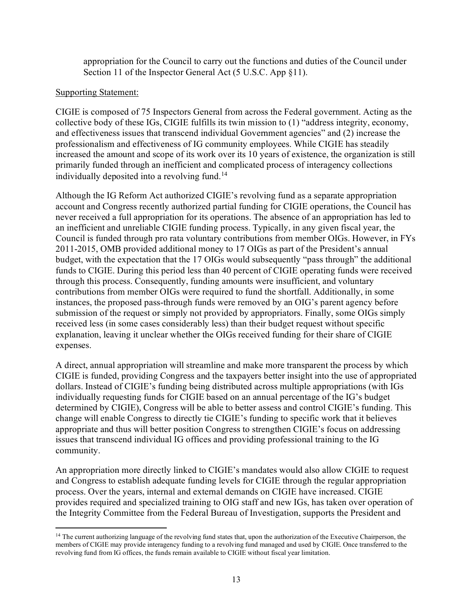appropriation for the Council to carry out the functions and duties of the Council under Section 11 of the Inspector General Act (5 U.S.C. App §11).

#### Supporting Statement:

CIGIE is composed of 75 Inspectors General from across the Federal government. Acting as the collective body of these IGs, CIGIE fulfills its twin mission to (1) "address integrity, economy, and effectiveness issues that transcend individual Government agencies" and (2) increase the professionalism and effectiveness of IG community employees. While CIGIE has steadily increased the amount and scope of its work over its 10 years of existence, the organization is still primarily funded through an inefficient and complicated process of interagency collections individually deposited into a revolving fund.<sup>[14](#page-12-0)</sup>

Although the IG Reform Act authorized CIGIE's revolving fund as a separate appropriation account and Congress recently authorized partial funding for CIGIE operations, the Council has never received a full appropriation for its operations. The absence of an appropriation has led to an inefficient and unreliable CIGIE funding process. Typically, in any given fiscal year, the Council is funded through pro rata voluntary contributions from member OIGs. However, in FYs 2011-2015, OMB provided additional money to 17 OIGs as part of the President's annual budget, with the expectation that the 17 OIGs would subsequently "pass through" the additional funds to CIGIE. During this period less than 40 percent of CIGIE operating funds were received through this process. Consequently, funding amounts were insufficient, and voluntary contributions from member OIGs were required to fund the shortfall. Additionally, in some instances, the proposed pass-through funds were removed by an OIG's parent agency before submission of the request or simply not provided by appropriators. Finally, some OIGs simply received less (in some cases considerably less) than their budget request without specific explanation, leaving it unclear whether the OIGs received funding for their share of CIGIE expenses.

A direct, annual appropriation will streamline and make more transparent the process by which CIGIE is funded, providing Congress and the taxpayers better insight into the use of appropriated dollars. Instead of CIGIE's funding being distributed across multiple appropriations (with IGs individually requesting funds for CIGIE based on an annual percentage of the IG's budget determined by CIGIE), Congress will be able to better assess and control CIGIE's funding. This change will enable Congress to directly tie CIGIE's funding to specific work that it believes appropriate and thus will better position Congress to strengthen CIGIE's focus on addressing issues that transcend individual IG offices and providing professional training to the IG community.

An appropriation more directly linked to CIGIE's mandates would also allow CIGIE to request and Congress to establish adequate funding levels for CIGIE through the regular appropriation process. Over the years, internal and external demands on CIGIE have increased. CIGIE provides required and specialized training to OIG staff and new IGs, has taken over operation of the Integrity Committee from the Federal Bureau of Investigation, supports the President and

<span id="page-12-0"></span><sup>&</sup>lt;sup>14</sup> The current authorizing language of the revolving fund states that, upon the authorization of the Executive Chairperson, the members of CIGIE may provide interagency funding to a revolving fund managed and used by CIGIE. Once transferred to the revolving fund from IG offices, the funds remain available to CIGIE without fiscal year limitation.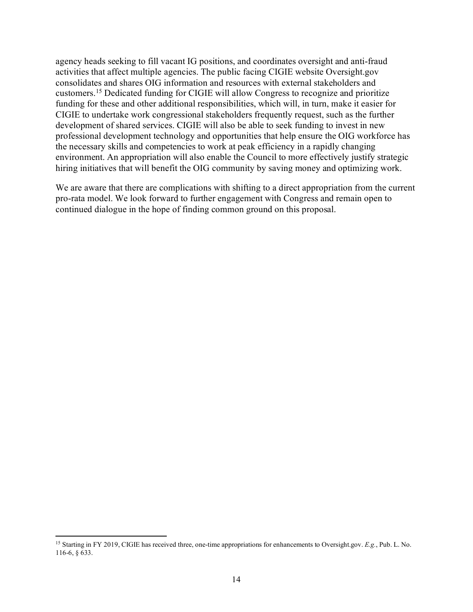agency heads seeking to fill vacant IG positions, and coordinates oversight and anti-fraud activities that affect multiple agencies. The public facing CIGIE website Oversight.gov consolidates and shares OIG information and resources with external stakeholders and customers.[15](#page-13-0) Dedicated funding for CIGIE will allow Congress to recognize and prioritize funding for these and other additional responsibilities, which will, in turn, make it easier for CIGIE to undertake work congressional stakeholders frequently request, such as the further development of shared services. CIGIE will also be able to seek funding to invest in new professional development technology and opportunities that help ensure the OIG workforce has the necessary skills and competencies to work at peak efficiency in a rapidly changing environment. An appropriation will also enable the Council to more effectively justify strategic hiring initiatives that will benefit the OIG community by saving money and optimizing work.

We are aware that there are complications with shifting to a direct appropriation from the current pro-rata model. We look forward to further engagement with Congress and remain open to continued dialogue in the hope of finding common ground on this proposal.

<span id="page-13-0"></span><sup>15</sup> Starting in FY 2019, CIGIE has received three, one-time appropriations for enhancements to Oversight.gov. *E.g.*, Pub. L. No. 116-6, § 633.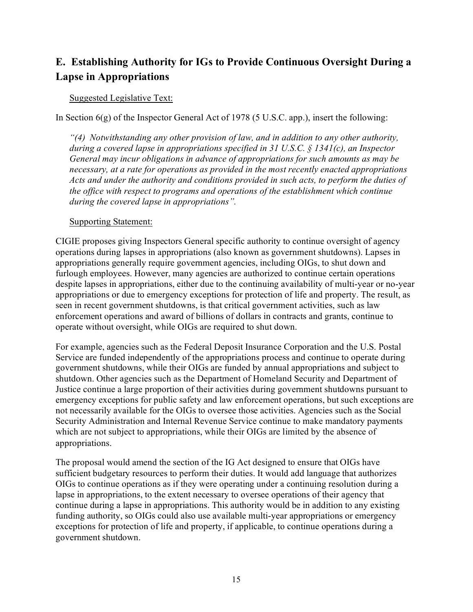## <span id="page-14-0"></span>**E. Establishing Authority for IGs to Provide Continuous Oversight During a Lapse in Appropriations**

#### Suggested Legislative Text:

In Section  $6(g)$  of the Inspector General Act of 1978 (5 U.S.C. app.), insert the following:

*"(4) Notwithstanding any other provision of law, and in addition to any other authority, during a covered lapse in appropriations specified in 31 U.S.C. § 1341(c), an Inspector General may incur obligations in advance of appropriations for such amounts as may be necessary, at a rate for operations as provided in the most recently enacted appropriations Acts and under the authority and conditions provided in such acts, to perform the duties of the office with respect to programs and operations of the establishment which continue during the covered lapse in appropriations".*

#### Supporting Statement:

CIGIE proposes giving Inspectors General specific authority to continue oversight of agency operations during lapses in appropriations (also known as government shutdowns). Lapses in appropriations generally require government agencies, including OIGs, to shut down and furlough employees. However, many agencies are authorized to continue certain operations despite lapses in appropriations, either due to the continuing availability of multi-year or no-year appropriations or due to emergency exceptions for protection of life and property. The result, as seen in recent government shutdowns, is that critical government activities, such as law enforcement operations and award of billions of dollars in contracts and grants, continue to operate without oversight, while OIGs are required to shut down.

For example, agencies such as the Federal Deposit Insurance Corporation and the U.S. Postal Service are funded independently of the appropriations process and continue to operate during government shutdowns, while their OIGs are funded by annual appropriations and subject to shutdown. Other agencies such as the Department of Homeland Security and Department of Justice continue a large proportion of their activities during government shutdowns pursuant to emergency exceptions for public safety and law enforcement operations, but such exceptions are not necessarily available for the OIGs to oversee those activities. Agencies such as the Social Security Administration and Internal Revenue Service continue to make mandatory payments which are not subject to appropriations, while their OIGs are limited by the absence of appropriations.

The proposal would amend the section of the IG Act designed to ensure that OIGs have sufficient budgetary resources to perform their duties. It would add language that authorizes OIGs to continue operations as if they were operating under a continuing resolution during a lapse in appropriations, to the extent necessary to oversee operations of their agency that continue during a lapse in appropriations. This authority would be in addition to any existing funding authority, so OIGs could also use available multi-year appropriations or emergency exceptions for protection of life and property, if applicable, to continue operations during a government shutdown.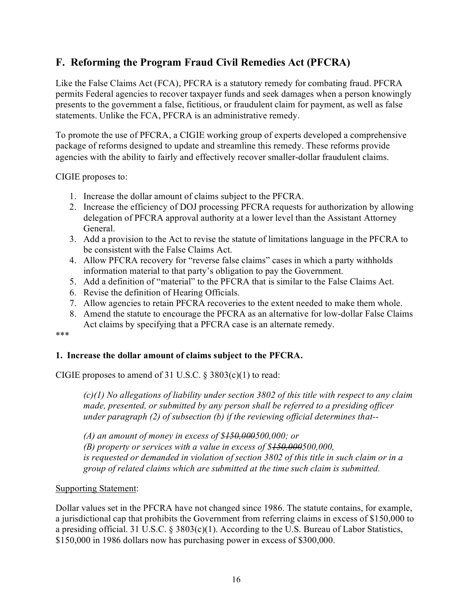## <span id="page-15-0"></span>**F. Reforming the Program Fraud Civil Remedies Act (PFCRA)**

Like the False Claims Act (FCA), PFCRA is a statutory remedy for combating fraud. PFCRA permits Federal agencies to recover taxpayer funds and seek damages when a person knowingly presents to the government a false, fictitious, or fraudulent claim for payment, as well as false statements. Unlike the FCA, PFCRA is an administrative remedy.

To promote the use of PFCRA, a CIGIE working group of experts developed a comprehensive package of reforms designed to update and streamline this remedy. These reforms provide agencies with the ability to fairly and effectively recover smaller-dollar fraudulent claims.

CIGIE proposes to:

- 1. Increase the dollar amount of claims subject to the PFCRA.
- 2. Increase the efficiency of DOJ processing PFCRA requests for authorization by allowing delegation of PFCRA approval authority at a lower level than the Assistant Attorney General.
- 3. Add a provision to the Act to revise the statute of limitations language in the PFCRA to be consistent with the False Claims Act.
- 4. Allow PFCRA recovery for "reverse false claims" cases in which a party withholds information material to that party's obligation to pay the Government.
- 5. Add a definition of "material" to the PFCRA that is similar to the False Claims Act.
- 6. Revise the definition of Hearing Officials.
- 7. Allow agencies to retain PFCRA recoveries to the extent needed to make them whole.
- 8. Amend the statute to encourage the PFCRA as an alternative for low-dollar False Claims Act claims by specifying that a PFCRA case is an alternate remedy.

\*\*\*

## **1. Increase the dollar amount of claims subject to the PFCRA.**

CIGIE proposes to amend of 31 U.S.C. § 3803(c)(1) to read:

*(c)(1) No allegations of liability under section 3802 of this title with respect to any claim made, presented, or submitted by any person shall be referred to a presiding officer under paragraph (2) of subsection (b) if the reviewing official determines that--*

*(A) an amount of money in excess of \$150,000500,000; or (B) property or services with a value in excess of \$150,000500,000, is requested or demanded in violation of section 3802 of this title in such claim or in a group of related claims which are submitted at the time such claim is submitted.*

#### Supporting Statement:

Dollar values set in the PFCRA have not changed since 1986. The statute contains, for example, a jurisdictional cap that prohibits the Government from referring claims in excess of \$150,000 to a presiding official. 31 U.S.C. § 3803(c)(1). According to the U.S. Bureau of Labor Statistics, \$150,000 in 1986 dollars now has purchasing power in excess of \$300,000.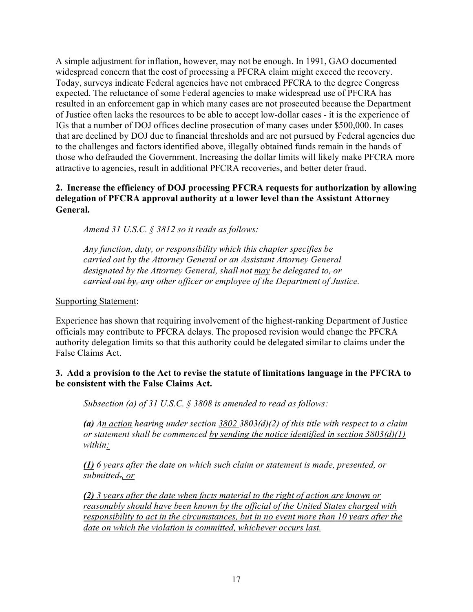A simple adjustment for inflation, however, may not be enough. In 1991, GAO documented widespread concern that the cost of processing a PFCRA claim might exceed the recovery. Today, surveys indicate Federal agencies have not embraced PFCRA to the degree Congress expected. The reluctance of some Federal agencies to make widespread use of PFCRA has resulted in an enforcement gap in which many cases are not prosecuted because the Department of Justice often lacks the resources to be able to accept low-dollar cases - it is the experience of IGs that a number of DOJ offices decline prosecution of many cases under \$500,000. In cases that are declined by DOJ due to financial thresholds and are not pursued by Federal agencies due to the challenges and factors identified above, illegally obtained funds remain in the hands of those who defrauded the Government. Increasing the dollar limits will likely make PFCRA more attractive to agencies, result in additional PFCRA recoveries, and better deter fraud.

## **2. Increase the efficiency of DOJ processing PFCRA requests for authorization by allowing delegation of PFCRA approval authority at a lower level than the Assistant Attorney General.**

*Amend 31 U.S.C. § 3812 so it reads as follows:*

*Any function, duty, or responsibility which this chapter specifies be carried out by the Attorney General or an Assistant Attorney General designated by the Attorney General, shall not may be delegated to, or carried out by, any other officer or employee of the Department of Justice.*

#### Supporting Statement:

Experience has shown that requiring involvement of the highest-ranking Department of Justice officials may contribute to PFCRA delays. The proposed revision would change the PFCRA authority delegation limits so that this authority could be delegated similar to claims under the False Claims Act.

#### **3. Add a provision to the Act to revise the statute of limitations language in the PFCRA to be consistent with the False Claims Act.**

*Subsection (a) of 31 U.S.C. § 3808 is amended to read as follows:*

*(a) An action hearing under section 3802 3803(d)(2) of this title with respect to a claim or statement shall be commenced by sending the notice identified in section 3803(d)(1) within:*

*(1) 6 years after the date on which such claim or statement is made, presented, or submitted., or*

*(2) 3 years after the date when facts material to the right of action are known or reasonably should have been known by the official of the United States charged with responsibility to act in the circumstances, but in no event more than 10 years after the date on which the violation is committed, whichever occurs last.*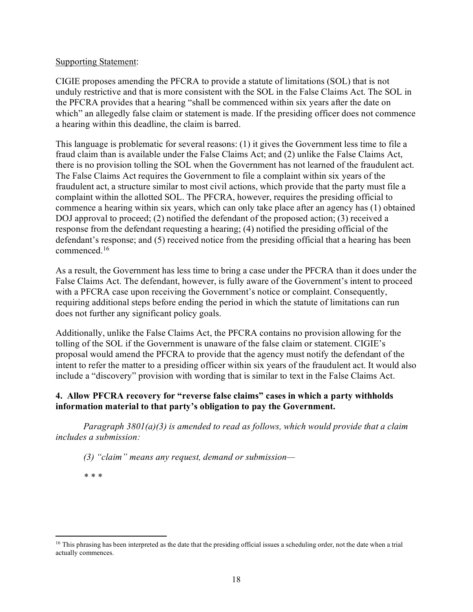#### Supporting Statement:

CIGIE proposes amending the PFCRA to provide a statute of limitations (SOL) that is not unduly restrictive and that is more consistent with the SOL in the False Claims Act. The SOL in the PFCRA provides that a hearing "shall be commenced within six years after the date on which" an allegedly false claim or statement is made. If the presiding officer does not commence a hearing within this deadline, the claim is barred.

This language is problematic for several reasons: (1) it gives the Government less time to file a fraud claim than is available under the False Claims Act; and (2) unlike the False Claims Act, there is no provision tolling the SOL when the Government has not learned of the fraudulent act. The False Claims Act requires the Government to file a complaint within six years of the fraudulent act, a structure similar to most civil actions, which provide that the party must file a complaint within the allotted SOL. The PFCRA, however, requires the presiding official to commence a hearing within six years, which can only take place after an agency has (1) obtained DOJ approval to proceed; (2) notified the defendant of the proposed action; (3) received a response from the defendant requesting a hearing; (4) notified the presiding official of the defendant's response; and (5) received notice from the presiding official that a hearing has been commenced.[16](#page-17-0)

As a result, the Government has less time to bring a case under the PFCRA than it does under the False Claims Act. The defendant, however, is fully aware of the Government's intent to proceed with a PFCRA case upon receiving the Government's notice or complaint. Consequently, requiring additional steps before ending the period in which the statute of limitations can run does not further any significant policy goals.

Additionally, unlike the False Claims Act, the PFCRA contains no provision allowing for the tolling of the SOL if the Government is unaware of the false claim or statement. CIGIE's proposal would amend the PFCRA to provide that the agency must notify the defendant of the intent to refer the matter to a presiding officer within six years of the fraudulent act. It would also include a "discovery" provision with wording that is similar to text in the False Claims Act.

#### **4. Allow PFCRA recovery for "reverse false claims" cases in which a party withholds information material to that party's obligation to pay the Government.**

*Paragraph 3801(a)(3) is amended to read as follows, which would provide that a claim includes a submission:*

*(3) "claim" means any request, demand or submission—*

*\* \* \**

<span id="page-17-0"></span><sup>&</sup>lt;sup>16</sup> This phrasing has been interpreted as the date that the presiding official issues a scheduling order, not the date when a trial actually commences.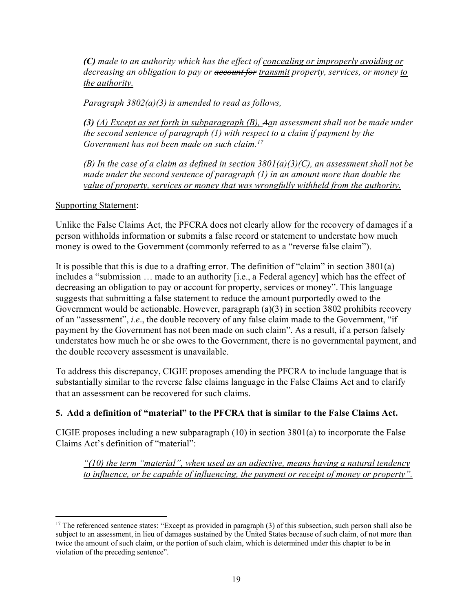*(C) made to an authority which has the effect of concealing or improperly avoiding or decreasing an obligation to pay or account for transmit property, services, or money to the authority.*

*Paragraph 3802(a)(3) is amended to read as follows,*

*(3) (A) Except as set forth in subparagraph (B), Aan assessment shall not be made under the second sentence of paragraph (1) with respect to a claim if payment by the Government has not been made on such claim.[17](#page-18-0)*

*(B) In the case of a claim as defined in section 3801(a)(3)(C), an assessment shall not be made under the second sentence of paragraph (1) in an amount more than double the value of property, services or money that was wrongfully withheld from the authority.* 

Supporting Statement:

Unlike the False Claims Act, the PFCRA does not clearly allow for the recovery of damages if a person withholds information or submits a false record or statement to understate how much money is owed to the Government (commonly referred to as a "reverse false claim").

It is possible that this is due to a drafting error. The definition of "claim" in section 3801(a) includes a "submission … made to an authority [i.e., a Federal agency] which has the effect of decreasing an obligation to pay or account for property, services or money". This language suggests that submitting a false statement to reduce the amount purportedly owed to the Government would be actionable. However, paragraph (a)(3) in section 3802 prohibits recovery of an "assessment", *i.e*., the double recovery of any false claim made to the Government, "if payment by the Government has not been made on such claim". As a result, if a person falsely understates how much he or she owes to the Government, there is no governmental payment, and the double recovery assessment is unavailable.

To address this discrepancy, CIGIE proposes amending the PFCRA to include language that is substantially similar to the reverse false claims language in the False Claims Act and to clarify that an assessment can be recovered for such claims.

## **5. Add a definition of "material" to the PFCRA that is similar to the False Claims Act.**

CIGIE proposes including a new subparagraph (10) in section 3801(a) to incorporate the False Claims Act's definition of "material":

*"(10) the term "material", when used as an adjective, means having a natural tendency to influence, or be capable of influencing, the payment or receipt of money or property".*

<span id="page-18-0"></span><sup>&</sup>lt;sup>17</sup> The referenced sentence states: "Except as provided in paragraph  $(3)$  of this subsection, such person shall also be subject to an assessment, in lieu of damages sustained by the United States because of such claim, of not more than twice the amount of such claim, or the portion of such claim, which is determined under this chapter to be in violation of the preceding sentence".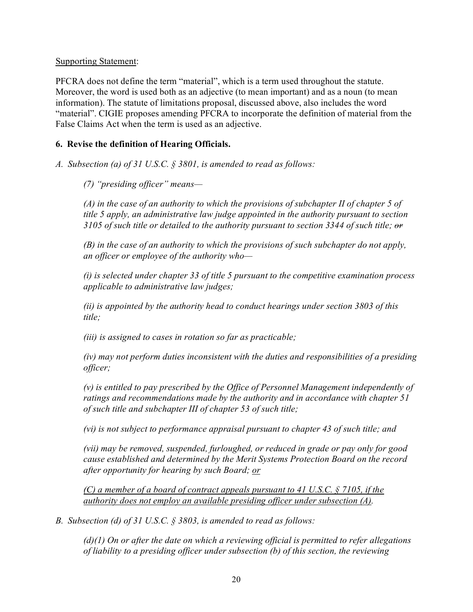#### Supporting Statement:

PFCRA does not define the term "material", which is a term used throughout the statute. Moreover, the word is used both as an adjective (to mean important) and as a noun (to mean information). The statute of limitations proposal, discussed above, also includes the word "material". CIGIE proposes amending PFCRA to incorporate the definition of material from the False Claims Act when the term is used as an adjective.

### **6. Revise the definition of Hearing Officials.**

*A. Subsection (a) of 31 U.S.C. § 3801, is amended to read as follows:*

*(7) "presiding officer" means—*

*(A) in the case of an authority to which the provisions of subchapter II of chapter 5 of title 5 apply, an administrative law judge appointed in the authority pursuant to section 3105 of such title or detailed to the authority pursuant to section 3344 of such title; or* 

*(B) in the case of an authority to which the provisions of such subchapter do not apply, an officer or employee of the authority who—*

*(i) is selected under chapter 33 of title 5 pursuant to the competitive examination process applicable to administrative law judges;*

*(ii) is appointed by the authority head to conduct hearings under section 3803 of this title;* 

*(iii) is assigned to cases in rotation so far as practicable;* 

*(iv) may not perform duties inconsistent with the duties and responsibilities of a presiding officer;* 

*(v) is entitled to pay prescribed by the Office of Personnel Management independently of ratings and recommendations made by the authority and in accordance with chapter 51 of such title and subchapter III of chapter 53 of such title;* 

*(vi) is not subject to performance appraisal pursuant to chapter 43 of such title; and* 

*(vii) may be removed, suspended, furloughed, or reduced in grade or pay only for good cause established and determined by the Merit Systems Protection Board on the record after opportunity for hearing by such Board; or*

*(C) a member of a board of contract appeals pursuant to 41 U.S.C. § 7105, if the authority does not employ an available presiding officer under subsection (A).*

*B. Subsection (d) of 31 U.S.C. § 3803, is amended to read as follows:*

*(d)(1) On or after the date on which a reviewing official is permitted to refer allegations of liability to a presiding officer under subsection (b) of this section, the reviewing*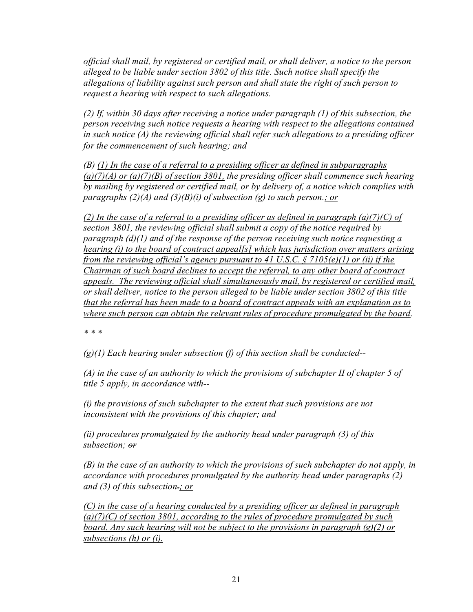*official shall mail, by registered or certified mail, or shall deliver, a notice to the person alleged to be liable under section 3802 of this title. Such notice shall specify the allegations of liability against such person and shall state the right of such person to request a hearing with respect to such allegations.*

*(2) If, within 30 days after receiving a notice under paragraph (1) of this subsection, the person receiving such notice requests a hearing with respect to the allegations contained in such notice (A) the reviewing official shall refer such allegations to a presiding officer for the commencement of such hearing; and*

*(B) (1) In the case of a referral to a presiding officer as defined in subparagraphs (a)(7)(A) or (a)(7)(B) of section 3801, the presiding officer shall commence such hearing by mailing by registered or certified mail, or by delivery of, a notice which complies with paragraphs (2)(A) and (3)(B)(i) of subsection (g) to such person.; or*

*(2) In the case of a referral to a presiding officer as defined in paragraph (a)(7)(C) of section 3801, the reviewing official shall submit a copy of the notice required by paragraph (d)(1) and of the response of the person receiving such notice requesting a hearing (i) to the board of contract appeal[s] which has jurisdiction over matters arising from the reviewing official's agency pursuant to 41 U.S.C. § 7105(e)(1) or (ii) if the Chairman of such board declines to accept the referral, to any other board of contract appeals. The reviewing official shall simultaneously mail, by registered or certified mail, or shall deliver, notice to the person alleged to be liable under section 3802 of this title that the referral has been made to a board of contract appeals with an explanation as to where such person can obtain the relevant rules of procedure promulgated by the board.* 

*\* \* \**

*(g)(1) Each hearing under subsection (f) of this section shall be conducted--*

*(A) in the case of an authority to which the provisions of subchapter II of chapter 5 of title 5 apply, in accordance with--*

*(i) the provisions of such subchapter to the extent that such provisions are not inconsistent with the provisions of this chapter; and*

*(ii) procedures promulgated by the authority head under paragraph (3) of this subsection; or*

*(B) in the case of an authority to which the provisions of such subchapter do not apply, in accordance with procedures promulgated by the authority head under paragraphs (2) and (3) of this subsection.; or*

*(C) in the case of a hearing conducted by a presiding officer as defined in paragraph (a)(7)(C) of section 3801, according to the rules of procedure promulgated by such board. Any such hearing will not be subject to the provisions in paragraph (g)(2) or subsections (h) or (i).*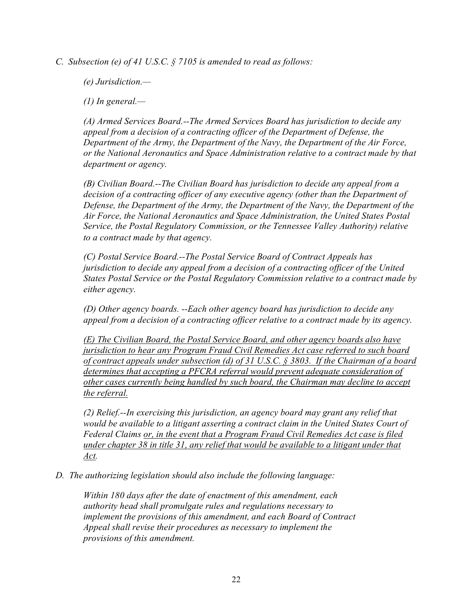*C. Subsection (e) of 41 U.S.C. § 7105 is amended to read as follows:*

*(e) Jurisdiction.—*

*(1) In general.—*

*(A) Armed Services Board.--The Armed Services Board has jurisdiction to decide any appeal from a decision of a contracting officer of the Department of Defense, the Department of the Army, the Department of the Navy, the Department of the Air Force, or the National Aeronautics and Space Administration relative to a contract made by that department or agency.*

*(B) Civilian Board.--The Civilian Board has jurisdiction to decide any appeal from a decision of a contracting officer of any executive agency (other than the Department of Defense, the Department of the Army, the Department of the Navy, the Department of the Air Force, the National Aeronautics and Space Administration, the United States Postal Service, the Postal Regulatory Commission, or the Tennessee Valley Authority) relative to a contract made by that agency.*

*(C) Postal Service Board.--The Postal Service Board of Contract Appeals has jurisdiction to decide any appeal from a decision of a contracting officer of the United States Postal Service or the Postal Regulatory Commission relative to a contract made by either agency.* 

*(D) Other agency boards. --Each other agency board has jurisdiction to decide any appeal from a decision of a contracting officer relative to a contract made by its agency.*

*(E) The Civilian Board, the Postal Service Board, and other agency boards also have jurisdiction to hear any Program Fraud Civil Remedies Act case referred to such board of contract appeals under subsection (d) of 31 U.S.C. § 3803. If the Chairman of a board determines that accepting a PFCRA referral would prevent adequate consideration of other cases currently being handled by such board, the Chairman may decline to accept the referral.*

*(2) Relief.--In exercising this jurisdiction, an agency board may grant any relief that would be available to a litigant asserting a contract claim in the United States Court of Federal Claims or, in the event that a Program Fraud Civil Remedies Act case is filed under chapter 38 in title 31, any relief that would be available to a litigant under that Act.* 

*D. The authorizing legislation should also include the following language:*

*Within 180 days after the date of enactment of this amendment, each authority head shall promulgate rules and regulations necessary to implement the provisions of this amendment, and each Board of Contract Appeal shall revise their procedures as necessary to implement the provisions of this amendment.*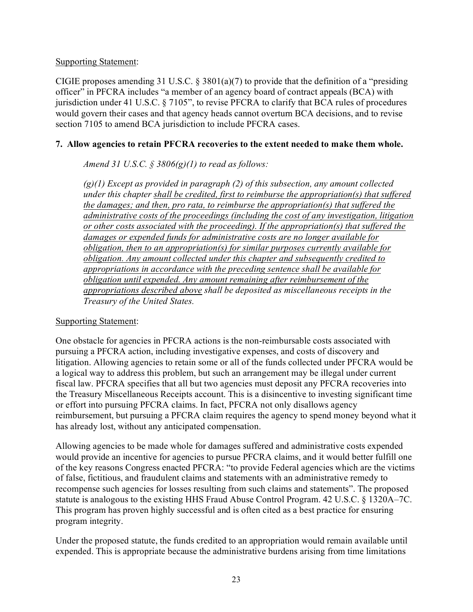#### Supporting Statement:

CIGIE proposes amending 31 U.S.C. § 3801(a)(7) to provide that the definition of a "presiding officer" in PFCRA includes "a member of an agency board of contract appeals (BCA) with jurisdiction under 41 U.S.C. § 7105", to revise PFCRA to clarify that BCA rules of procedures would govern their cases and that agency heads cannot overturn BCA decisions, and to revise section 7105 to amend BCA jurisdiction to include PFCRA cases.

## **7. Allow agencies to retain PFCRA recoveries to the extent needed to make them whole.**

## *Amend 31 U.S.C. § 3806(g)(1) to read as follows:*

*(g)(1) Except as provided in paragraph (2) of this subsection, any amount collected under this chapter shall be credited, first to reimburse the appropriation(s) that suffered the damages; and then, pro rata, to reimburse the appropriation(s) that suffered the administrative costs of the proceedings (including the cost of any investigation, litigation or other costs associated with the proceeding). If the appropriation(s) that suffered the damages or expended funds for administrative costs are no longer available for obligation, then to an appropriation(s) for similar purposes currently available for obligation. Any amount collected under this chapter and subsequently credited to appropriations in accordance with the preceding sentence shall be available for obligation until expended. Any amount remaining after reimbursement of the appropriations described above shall be deposited as miscellaneous receipts in the Treasury of the United States.* 

#### Supporting Statement:

One obstacle for agencies in PFCRA actions is the non-reimbursable costs associated with pursuing a PFCRA action, including investigative expenses, and costs of discovery and litigation. Allowing agencies to retain some or all of the funds collected under PFCRA would be a logical way to address this problem, but such an arrangement may be illegal under current fiscal law. PFCRA specifies that all but two agencies must deposit any PFCRA recoveries into the Treasury Miscellaneous Receipts account. This is a disincentive to investing significant time or effort into pursuing PFCRA claims. In fact, PFCRA not only disallows agency reimbursement, but pursuing a PFCRA claim requires the agency to spend money beyond what it has already lost, without any anticipated compensation.

Allowing agencies to be made whole for damages suffered and administrative costs expended would provide an incentive for agencies to pursue PFCRA claims, and it would better fulfill one of the key reasons Congress enacted PFCRA: "to provide Federal agencies which are the victims of false, fictitious, and fraudulent claims and statements with an administrative remedy to recompense such agencies for losses resulting from such claims and statements". The proposed statute is analogous to the existing HHS Fraud Abuse Control Program. 42 U.S.C. § 1320A–7C. This program has proven highly successful and is often cited as a best practice for ensuring program integrity.

Under the proposed statute, the funds credited to an appropriation would remain available until expended. This is appropriate because the administrative burdens arising from time limitations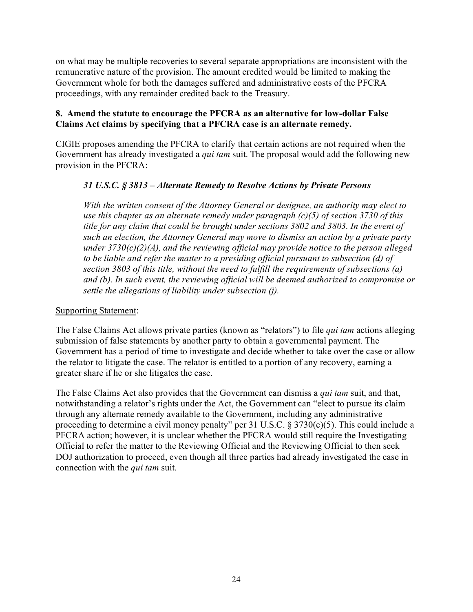on what may be multiple recoveries to several separate appropriations are inconsistent with the remunerative nature of the provision. The amount credited would be limited to making the Government whole for both the damages suffered and administrative costs of the PFCRA proceedings, with any remainder credited back to the Treasury.

## **8. Amend the statute to encourage the PFCRA as an alternative for low-dollar False Claims Act claims by specifying that a PFCRA case is an alternate remedy.**

CIGIE proposes amending the PFCRA to clarify that certain actions are not required when the Government has already investigated a *qui tam* suit. The proposal would add the following new provision in the PFCRA:

## *31 U.S.C. § 3813 – Alternate Remedy to Resolve Actions by Private Persons*

*With the written consent of the Attorney General or designee, an authority may elect to use this chapter as an alternate remedy under paragraph (c)(5) of section 3730 of this title for any claim that could be brought under sections 3802 and 3803. In the event of such an election, the Attorney General may move to dismiss an action by a private party under 3730(c)(2)(A), and the reviewing official may provide notice to the person alleged to be liable and refer the matter to a presiding official pursuant to subsection (d) of section 3803 of this title, without the need to fulfill the requirements of subsections (a) and (b). In such event, the reviewing official will be deemed authorized to compromise or settle the allegations of liability under subsection (j).*

### Supporting Statement:

The False Claims Act allows private parties (known as "relators") to file *qui tam* actions alleging submission of false statements by another party to obtain a governmental payment. The Government has a period of time to investigate and decide whether to take over the case or allow the relator to litigate the case. The relator is entitled to a portion of any recovery, earning a greater share if he or she litigates the case.

The False Claims Act also provides that the Government can dismiss a *qui tam* suit, and that, notwithstanding a relator's rights under the Act, the Government can "elect to pursue its claim through any alternate remedy available to the Government, including any administrative proceeding to determine a civil money penalty" per 31 U.S.C. § 3730(c)(5). This could include a PFCRA action; however, it is unclear whether the PFCRA would still require the Investigating Official to refer the matter to the Reviewing Official and the Reviewing Official to then seek DOJ authorization to proceed, even though all three parties had already investigated the case in connection with the *qui tam* suit.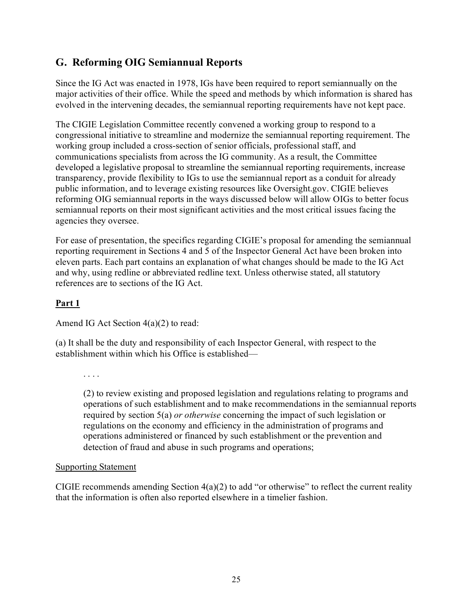## <span id="page-24-0"></span>**G. Reforming OIG Semiannual Reports**

Since the IG Act was enacted in 1978, IGs have been required to report semiannually on the major activities of their office. While the speed and methods by which information is shared has evolved in the intervening decades, the semiannual reporting requirements have not kept pace.

The CIGIE Legislation Committee recently convened a working group to respond to a congressional initiative to streamline and modernize the semiannual reporting requirement. The working group included a cross-section of senior officials, professional staff, and communications specialists from across the IG community. As a result, the Committee developed a legislative proposal to streamline the semiannual reporting requirements, increase transparency, provide flexibility to IGs to use the semiannual report as a conduit for already public information, and to leverage existing resources like Oversight.gov. CIGIE believes reforming OIG semiannual reports in the ways discussed below will allow OIGs to better focus semiannual reports on their most significant activities and the most critical issues facing the agencies they oversee.

For ease of presentation, the specifics regarding CIGIE's proposal for amending the semiannual reporting requirement in Sections 4 and 5 of the Inspector General Act have been broken into eleven parts. Each part contains an explanation of what changes should be made to the IG Act and why, using redline or abbreviated redline text. Unless otherwise stated, all statutory references are to sections of the IG Act.

## **Part 1**

Amend IG Act Section 4(a)(2) to read:

(a) It shall be the duty and responsibility of each Inspector General, with respect to the establishment within which his Office is established—

. . . .

(2) to review existing and proposed legislation and regulations relating to programs and operations of such establishment and to make recommendations in the semiannual reports required by section 5(a) *or otherwise* concerning the impact of such legislation or regulations on the economy and efficiency in the administration of programs and operations administered or financed by such establishment or the prevention and detection of fraud and abuse in such programs and operations;

#### Supporting Statement

CIGIE recommends amending Section  $4(a)(2)$  to add "or otherwise" to reflect the current reality that the information is often also reported elsewhere in a timelier fashion.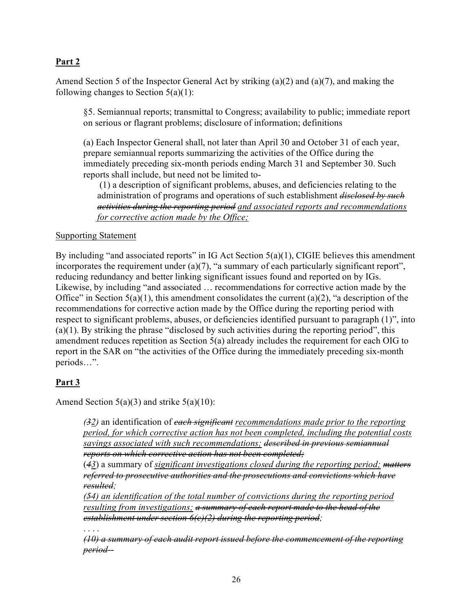Amend Section 5 of the Inspector General Act by striking (a)(2) and (a)(7), and making the following changes to Section  $5(a)(1)$ :

§5. Semiannual reports; transmittal to Congress; availability to public; immediate report on serious or flagrant problems; disclosure of information; definitions

(a) Each Inspector General shall, not later than April 30 and October 31 of each year, prepare semiannual reports summarizing the activities of the Office during the immediately preceding six‐month periods ending March 31 and September 30. Such reports shall include, but need not be limited to‐

(1) a description of significant problems, abuses, and deficiencies relating to the administration of programs and operations of such establishment *disclosed by such activities during the reporting period and associated reports and recommendations for corrective action made by the Office;* 

#### Supporting Statement

By including "and associated reports" in IG Act Section  $5(a)(1)$ , CIGIE believes this amendment incorporates the requirement under (a)(7), "a summary of each particularly significant report", reducing redundancy and better linking significant issues found and reported on by IGs. Likewise, by including "and associated … recommendations for corrective action made by the Office" in Section  $5(a)(1)$ , this amendment consolidates the current  $(a)(2)$ , "a description of the recommendations for corrective action made by the Office during the reporting period with respect to significant problems, abuses, or deficiencies identified pursuant to paragraph (1)", into (a)(1). By striking the phrase "disclosed by such activities during the reporting period", this amendment reduces repetition as Section 5(a) already includes the requirement for each OIG to report in the SAR on "the activities of the Office during the immediately preceding six-month periods…".

## **Part 3**

Amend Section  $5(a)(3)$  and strike  $5(a)(10)$ :

*(32)* an identification of *each significant recommendations made prior to the reporting period, for which corrective action has not been completed, including the potential costs savings associated with such recommendations; described in previous semiannual reports on which corrective action has not been completed;*

(*43*) a summary of *significant investigations closed during the reporting period; matters referred to prosecutive authorities and the prosecutions and convictions which have resulted;*

*(54) an identification of the total number of convictions during the reporting period resulting from investigations; a summary of each report made to the head of the establishment under section 6(c)(2) during the reporting period;*

. . . .

*(10) a summary of each audit report issued before the commencement of the reporting period‐‐*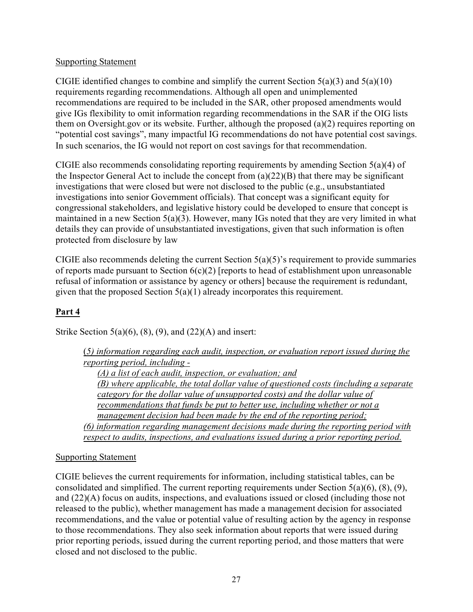#### Supporting Statement

CIGIE identified changes to combine and simplify the current Section  $5(a)(3)$  and  $5(a)(10)$ requirements regarding recommendations. Although all open and unimplemented recommendations are required to be included in the SAR, other proposed amendments would give IGs flexibility to omit information regarding recommendations in the SAR if the OIG lists them on Oversight.gov or its website. Further, although the proposed (a)(2) requires reporting on "potential cost savings", many impactful IG recommendations do not have potential cost savings. In such scenarios, the IG would not report on cost savings for that recommendation.

CIGIE also recommends consolidating reporting requirements by amending Section 5(a)(4) of the Inspector General Act to include the concept from  $(a)(22)(B)$  that there may be significant investigations that were closed but were not disclosed to the public (e.g., unsubstantiated investigations into senior Government officials). That concept was a significant equity for congressional stakeholders, and legislative history could be developed to ensure that concept is maintained in a new Section 5(a)(3). However, many IGs noted that they are very limited in what details they can provide of unsubstantiated investigations, given that such information is often protected from disclosure by law

CIGIE also recommends deleting the current Section 5(a)(5)'s requirement to provide summaries of reports made pursuant to Section  $6(c)(2)$  [reports to head of establishment upon unreasonable refusal of information or assistance by agency or others] because the requirement is redundant, given that the proposed Section  $5(a)(1)$  already incorporates this requirement.

## **Part 4**

Strike Section  $5(a)(6)$ ,  $(8)$ ,  $(9)$ , and  $(22)(A)$  and insert:

| (5) information regarding each audit, inspection, or evaluation report issued during the |
|------------------------------------------------------------------------------------------|
| reporting period, including -                                                            |
| $(A)$ a list of each audit, inspection, or evaluation; and                               |
| (B) where applicable, the total dollar value of questioned costs (including a separate   |
| category for the dollar value of unsupported costs) and the dollar value of              |
| recommendations that funds be put to better use, including whether or not a              |
| management decision had been made by the end of the reporting period;                    |
| (6) information regarding management decisions made during the reporting period with     |
| respect to audits, inspections, and evaluations issued during a prior reporting period.  |

## Supporting Statement

CIGIE believes the current requirements for information, including statistical tables, can be consolidated and simplified. The current reporting requirements under Section  $5(a)(6)$ ,  $(8)$ ,  $(9)$ , and (22)(A) focus on audits, inspections, and evaluations issued or closed (including those not released to the public), whether management has made a management decision for associated recommendations, and the value or potential value of resulting action by the agency in response to those recommendations. They also seek information about reports that were issued during prior reporting periods, issued during the current reporting period, and those matters that were closed and not disclosed to the public.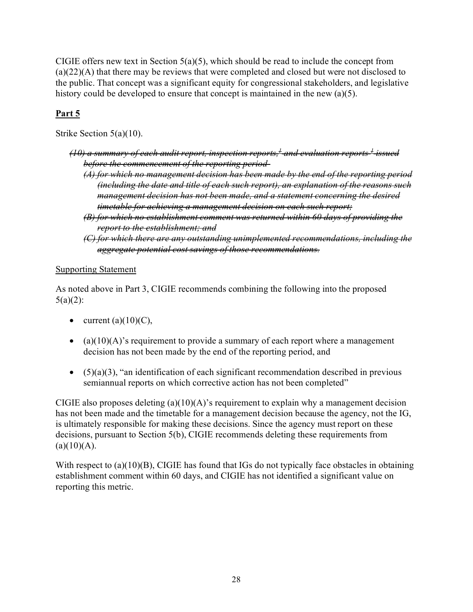CIGIE offers new text in Section  $5(a)(5)$ , which should be read to include the concept from (a)(22)(A) that there may be reviews that were completed and closed but were not disclosed to the public. That concept was a significant equity for congressional stakeholders, and legislative history could be developed to ensure that concept is maintained in the new (a)(5).

## **Part 5**

Strike Section 5(a)(10).

- *(10) a summary of each audit report, inspection reports[,1](https://uscode.house.gov/view.xhtml?hl=false&edition=prelim&req=granuleid%3AUSC-prelim-title5a-node20-section5&num=0&saved=%7CZ3JhbnVsZWlkOlVTQy1wcmVsaW0tdGl0bGU1YS1ub2RlMjAtc2VjdGlvbjY%3D%7C%7C%7C0%7Cfalse%7Cprelim#5_1_target) and evaluation reports [1](https://uscode.house.gov/view.xhtml?hl=false&edition=prelim&req=granuleid%3AUSC-prelim-title5a-node20-section5&num=0&saved=%7CZ3JhbnVsZWlkOlVTQy1wcmVsaW0tdGl0bGU1YS1ub2RlMjAtc2VjdGlvbjY%3D%7C%7C%7C0%7Cfalse%7Cprelim#5_1_target) issued before the commencement of the reporting period-*
	- *(A) for which no management decision has been made by the end of the reporting period (including the date and title of each such report), an explanation of the reasons such management decision has not been made, and a statement concerning the desired timetable for achieving a management decision on each such report;*
	- *(B) for which no establishment comment was returned within 60 days of providing the report to the establishment; and*
	- *(C) for which there are any outstanding unimplemented recommendations, including the aggregate potential cost savings of those recommendations.*

## Supporting Statement

As noted above in Part 3, CIGIE recommends combining the following into the proposed  $5(a)(2)$ :

- current  $(a)(10)(C)$ ,
- (a) $(10)(A)$ 's requirement to provide a summary of each report where a management decision has not been made by the end of the reporting period, and
- $(5)(a)(3)$ , "an identification of each significant recommendation described in previous semiannual reports on which corrective action has not been completed"

CIGIE also proposes deleting  $(a)(10)(A)$ 's requirement to explain why a management decision has not been made and the timetable for a management decision because the agency, not the IG, is ultimately responsible for making these decisions. Since the agency must report on these decisions, pursuant to Section 5(b), CIGIE recommends deleting these requirements from  $(a)(10)(A).$ 

With respect to (a)(10)(B), CIGIE has found that IGs do not typically face obstacles in obtaining establishment comment within 60 days, and CIGIE has not identified a significant value on reporting this metric.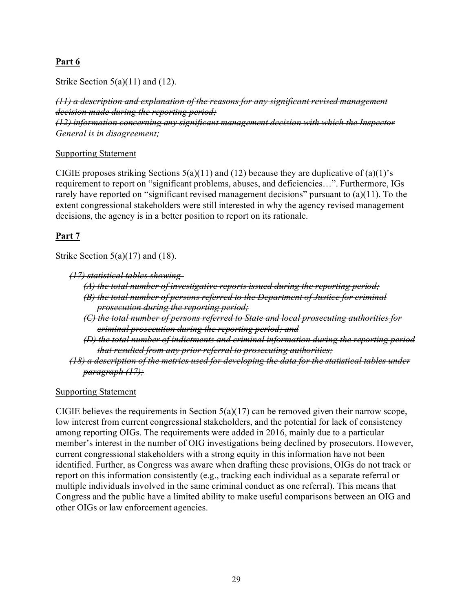Strike Section  $5(a)(11)$  and  $(12)$ .

*(11) a description and explanation of the reasons for any significant revised management decision made during the reporting period; (12) information concerning any significant management decision with which the Inspector General is in disagreement;*

#### Supporting Statement

CIGIE proposes striking Sections  $5(a)(11)$  and  $(12)$  because they are duplicative of  $(a)(1)$ 's requirement to report on "significant problems, abuses, and deficiencies…". Furthermore, IGs rarely have reported on "significant revised management decisions" pursuant to (a)(11). To the extent congressional stakeholders were still interested in why the agency revised management decisions, the agency is in a better position to report on its rationale.

## **Part 7**

Strike Section 5(a)(17) and (18).

```
(17) statistical tables showing-
```
*(A) the total number of investigative reports issued during the reporting period; (B) the total number of persons referred to the Department of Justice for criminal prosecution during the reporting period;*

*(C) the total number of persons referred to State and local prosecuting authorities for criminal prosecution during the reporting period; and*

*(D) the total number of indictments and criminal information during the reporting period that resulted from any prior referral to prosecuting authorities;*

*(18) a description of the metrics used for developing the data for the statistical tables under paragraph (17);*

#### Supporting Statement

CIGIE believes the requirements in Section  $5(a)(17)$  can be removed given their narrow scope, low interest from current congressional stakeholders, and the potential for lack of consistency among reporting OIGs. The requirements were added in 2016, mainly due to a particular member's interest in the number of OIG investigations being declined by prosecutors. However, current congressional stakeholders with a strong equity in this information have not been identified. Further, as Congress was aware when drafting these provisions, OIGs do not track or report on this information consistently (e.g., tracking each individual as a separate referral or multiple individuals involved in the same criminal conduct as one referral). This means that Congress and the public have a limited ability to make useful comparisons between an OIG and other OIGs or law enforcement agencies.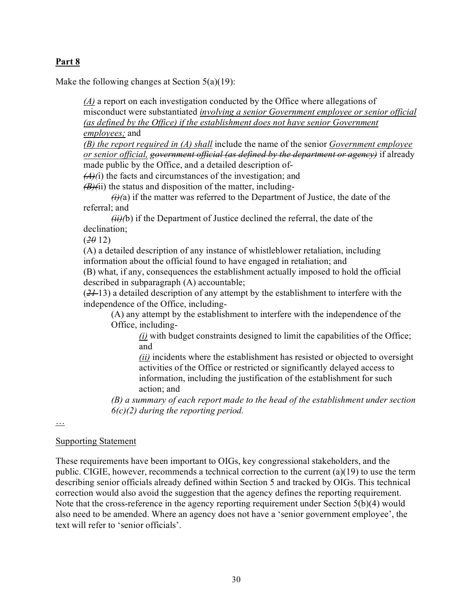Make the following changes at Section 5(a)(19):

*(A)* a report on each investigation conducted by the Office where allegations of misconduct were substantiated *involving a senior Government employee or senior official (as defined by the Office) if the establishment does not have senior Government employees;* and

*(B) the report required in (A) shall* include the name of the senior *Government employee or senior official, government official (as defined by the department or agency)* if already made public by the Office, and a detailed description of‐

*(A)(*i) the facts and circumstances of the investigation; and

*(B)(*ii) the status and disposition of the matter, including‐

 $\hat{H}(\hat{a})$  if the matter was referred to the Department of Justice, the date of the referral; and

*(ii)(*b) if the Department of Justice declined the referral, the date of the declination;

(*20* 12)

(A) a detailed description of any instance of whistleblower retaliation, including information about the official found to have engaged in retaliation; and

(B) what, if any, consequences the establishment actually imposed to hold the official described in subparagraph (A) accountable;

(*21* 13) a detailed description of any attempt by the establishment to interfere with the independence of the Office, including‐

(A) any attempt by the establishment to interfere with the independence of the Office, including‐

*(i)* with budget constraints designed to limit the capabilities of the Office; and

*(ii)* incidents where the establishment has resisted or objected to oversight activities of the Office or restricted or significantly delayed access to information, including the justification of the establishment for such action; and

*(B) a summary of each report made to the head of the establishment under section 6(c)(2) during the reporting period.*

…

#### Supporting Statement

These requirements have been important to OIGs, key congressional stakeholders, and the public. CIGIE, however, recommends a technical correction to the current (a)(19) to use the term describing senior officials already defined within Section 5 and tracked by OIGs. This technical correction would also avoid the suggestion that the agency defines the reporting requirement. Note that the cross-reference in the agency reporting requirement under Section  $5(b)(4)$  would also need to be amended. Where an agency does not have a 'senior government employee', the text will refer to 'senior officials'.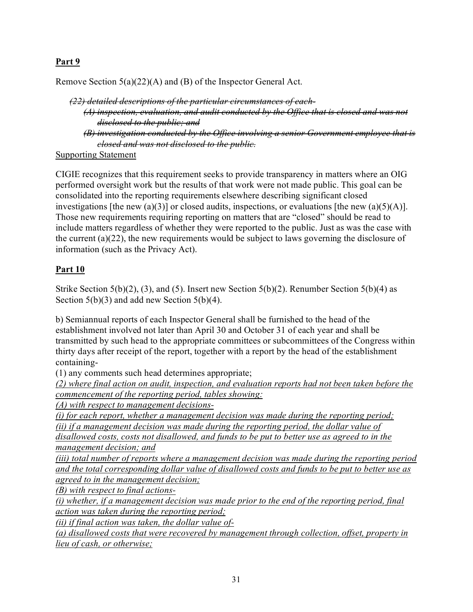Remove Section 5(a)(22)(A) and (B) of the Inspector General Act.

*(22) detailed descriptions of the particular circumstances of each- (A) inspection, evaluation, and audit conducted by the Office that is closed and was not disclosed to the public; and (B) investigation conducted by the Office involving a senior Government employee that is closed and was not disclosed to the public.*

Supporting Statement

CIGIE recognizes that this requirement seeks to provide transparency in matters where an OIG performed oversight work but the results of that work were not made public. This goal can be consolidated into the reporting requirements elsewhere describing significant closed investigations [the new (a)(3)] or closed audits, inspections, or evaluations [the new (a)(5)(A)]. Those new requirements requiring reporting on matters that are "closed" should be read to include matters regardless of whether they were reported to the public. Just as was the case with the current (a)(22), the new requirements would be subject to laws governing the disclosure of information (such as the Privacy Act).

## **Part 10**

Strike Section 5(b)(2), (3), and (5). Insert new Section 5(b)(2). Renumber Section 5(b)(4) as Section  $5(b)(3)$  and add new Section  $5(b)(4)$ .

b) Semiannual reports of each Inspector General shall be furnished to the head of the establishment involved not later than April 30 and October 31 of each year and shall be transmitted by such head to the appropriate committees or subcommittees of the Congress within thirty days after receipt of the report, together with a report by the head of the establishment containing‐

(1) any comments such head determines appropriate;

*(2) where final action on audit, inspection, and evaluation reports had not been taken before the commencement of the reporting period, tables showing:*

*(A) with respect to management decisions‐*

*(i) for each report, whether a management decision was made during the reporting period; (ii) if a management decision was made during the reporting period, the dollar value of disallowed costs, costs not disallowed, and funds to be put to better use as agreed to in the management decision; and*

*(iii)* total number of reports where a management decision was made during the reporting period *and the total corresponding dollar value of disallowed costs and funds to be put to better use as agreed to in the management decision;*

*(B) with respect to final actions‐*

*(i) whether, if a management decision was made prior to the end of the reporting period, final action was taken during the reporting period;*

*(ii) if final action was taken, the dollar value of‐*

*(a) disallowed costs that were recovered by management through collection, offset, property in lieu of cash, or otherwise;*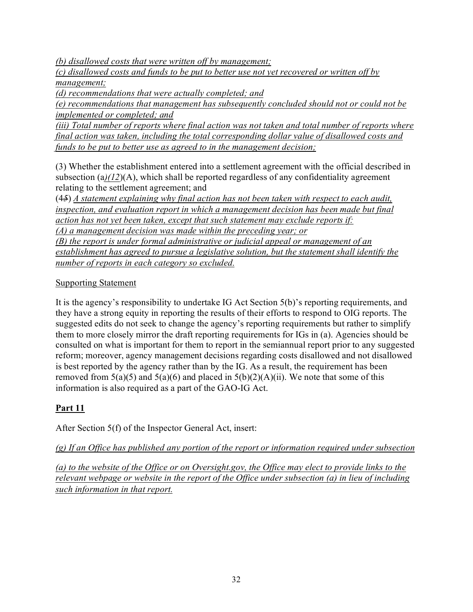*(b) disallowed costs that were written off by management;*

*(c) disallowed costs and funds to be put to better use not yet recovered or written off by management;*

*(d) recommendations that were actually completed; and*

*(e) recommendations that management has subsequently concluded should not or could not be implemented or completed; and*

*(iii) Total number of reports where final action was not taken and total number of reports where final action was taken, including the total corresponding dollar value of disallowed costs and funds to be put to better use as agreed to in the management decision;*

(3) Whether the establishment entered into a settlement agreement with the official described in subsection (a)(12)(A), which shall be reported regardless of any confidentiality agreement relating to the settlement agreement; and

(4*5*) *A statement explaining why final action has not been taken with respect to each audit, inspection, and evaluation report in which a management decision has been made but final action has not yet been taken, except that such statement may exclude reports if: (A) a management decision was made within the preceding year; or (B) the report is under formal administrative or judicial appeal or management of an establishment has agreed to pursue a legislative solution, but the statement shall identify the number of reports in each category so excluded.*

## Supporting Statement

It is the agency's responsibility to undertake IG Act Section 5(b)'s reporting requirements, and they have a strong equity in reporting the results of their efforts to respond to OIG reports. The suggested edits do not seek to change the agency's reporting requirements but rather to simplify them to more closely mirror the draft reporting requirements for IGs in (a). Agencies should be consulted on what is important for them to report in the semiannual report prior to any suggested reform; moreover, agency management decisions regarding costs disallowed and not disallowed is best reported by the agency rather than by the IG. As a result, the requirement has been removed from  $5(a)(5)$  and  $5(a)(6)$  and placed in  $5(b)(2)(A)(ii)$ . We note that some of this information is also required as a part of the GAO-IG Act.

## **Part 11**

After Section 5(f) of the Inspector General Act, insert:

*(g) If an Office has published any portion of the report or information required under subsection*

*(a) to the website of the Office or on Oversight.gov, the Office may elect to provide links to the relevant webpage or website in the report of the Office under subsection (a) in lieu of including such information in that report.*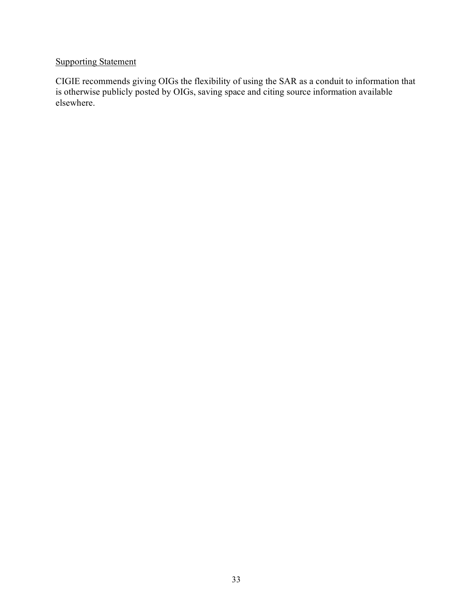## Supporting Statement

CIGIE recommends giving OIGs the flexibility of using the SAR as a conduit to information that is otherwise publicly posted by OIGs, saving space and citing source information available elsewhere.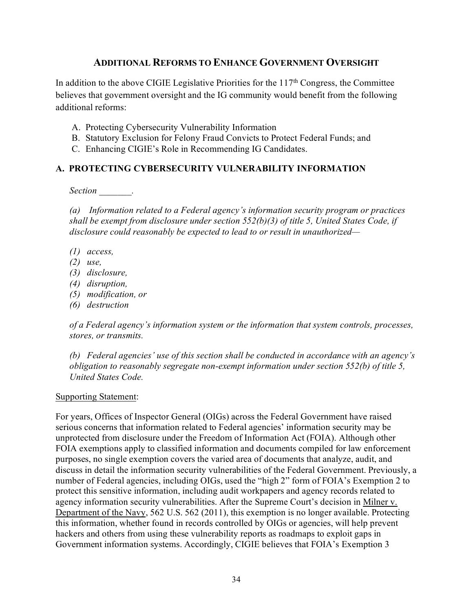## **ADDITIONAL REFORMS TO ENHANCE GOVERNMENT OVERSIGHT**

In addition to the above CIGIE Legislative Priorities for the  $117<sup>th</sup>$  Congress, the Committee believes that government oversight and the IG community would benefit from the following additional reforms:

- A. Protecting Cybersecurity Vulnerability Information
- B. Statutory Exclusion for Felony Fraud Convicts to Protect Federal Funds; and
- C. Enhancing CIGIE's Role in Recommending IG Candidates.

#### <span id="page-33-0"></span>**A. PROTECTING CYBERSECURITY VULNERABILITY INFORMATION**

*Section \_\_\_\_\_\_\_.*

*(a) Information related to a Federal agency's information security program or practices shall be exempt from disclosure under section 552(b)(3) of title 5, United States Code, if disclosure could reasonably be expected to lead to or result in unauthorized—*

- *(1) access,*
- *(2) use,*
- *(3) disclosure,*
- *(4) disruption,*
- *(5) modification, or*
- *(6) destruction*

*of a Federal agency's information system or the information that system controls, processes, stores, or transmits.*

*(b) Federal agencies' use of this section shall be conducted in accordance with an agency's obligation to reasonably segregate non-exempt information under section 552(b) of title 5, United States Code.*

#### Supporting Statement:

For years, Offices of Inspector General (OIGs) across the Federal Government have raised serious concerns that information related to Federal agencies' information security may be unprotected from disclosure under the Freedom of Information Act (FOIA). Although other FOIA exemptions apply to classified information and documents compiled for law enforcement purposes, no single exemption covers the varied area of documents that analyze, audit, and discuss in detail the information security vulnerabilities of the Federal Government. Previously, a number of Federal agencies, including OIGs, used the "high 2" form of FOIA's Exemption 2 to protect this sensitive information, including audit workpapers and agency records related to agency information security vulnerabilities. After the Supreme Court's decision in Milner v. Department of the Navy, 562 U.S. 562 (2011), this exemption is no longer available. Protecting this information, whether found in records controlled by OIGs or agencies, will help prevent hackers and others from using these vulnerability reports as roadmaps to exploit gaps in Government information systems. Accordingly, CIGIE believes that FOIA's Exemption 3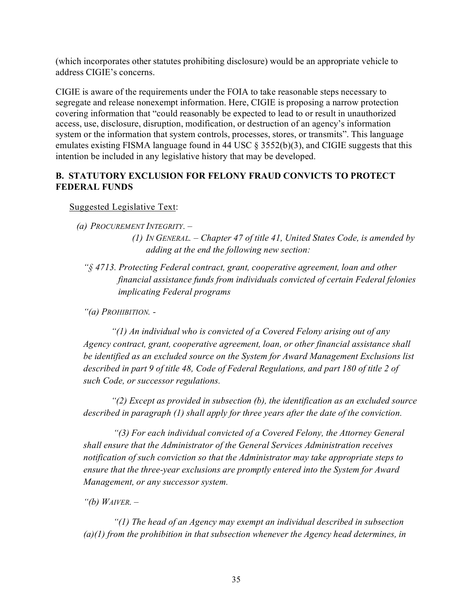(which incorporates other statutes prohibiting disclosure) would be an appropriate vehicle to address CIGIE's concerns.

CIGIE is aware of the requirements under the FOIA to take reasonable steps necessary to segregate and release nonexempt information. Here, CIGIE is proposing a narrow protection covering information that "could reasonably be expected to lead to or result in unauthorized access, use, disclosure, disruption, modification, or destruction of an agency's information system or the information that system controls, processes, stores, or transmits". This language emulates existing FISMA language found in 44 USC § 3552(b)(3), and CIGIE suggests that this intention be included in any legislative history that may be developed.

## <span id="page-34-0"></span>**B. STATUTORY EXCLUSION FOR FELONY FRAUD CONVICTS TO PROTECT FEDERAL FUNDS**

Suggested Legislative Text:

*"§ 4713. Protecting Federal contract, grant, cooperative agreement, loan and other financial assistance funds from individuals convicted of certain Federal felonies implicating Federal programs*

*"(a) PROHIBITION. -* 

*"(1) An individual who is convicted of a Covered Felony arising out of any Agency contract, grant, cooperative agreement, loan, or other financial assistance shall be identified as an excluded source on the System for Award Management Exclusions list described in part 9 of title 48, Code of Federal Regulations, and part 180 of title 2 of such Code, or successor regulations.*

*"(2) Except as provided in subsection (b), the identification as an excluded source described in paragraph (1) shall apply for three years after the date of the conviction.* 

*"(3) For each individual convicted of a Covered Felony, the Attorney General shall ensure that the Administrator of the General Services Administration receives notification of such conviction so that the Administrator may take appropriate steps to ensure that the three-year exclusions are promptly entered into the System for Award Management, or any successor system.* 

*"(b) WAIVER. –* 

*"(1) The head of an Agency may exempt an individual described in subsection (a)(1) from the prohibition in that subsection whenever the Agency head determines, in* 

*<sup>(</sup>a) PROCUREMENT INTEGRITY. –*

*<sup>(1)</sup> IN GENERAL. – Chapter 47 of title 41, United States Code, is amended by adding at the end the following new section:*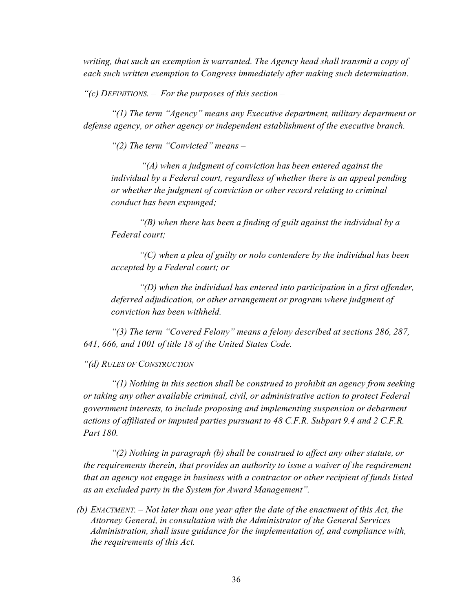*writing, that such an exemption is warranted. The Agency head shall transmit a copy of each such written exemption to Congress immediately after making such determination.*

*"(c) DEFINITIONS. – For the purposes of this section –*

*"(1) The term "Agency" means any Executive department, military department or defense agency, or other agency or independent establishment of the executive branch.*

*"(2) The term "Convicted" means –*

*"(A) when a judgment of conviction has been entered against the individual by a Federal court, regardless of whether there is an appeal pending or whether the judgment of conviction or other record relating to criminal conduct has been expunged;*

*"(B) when there has been a finding of guilt against the individual by a Federal court;*

*"(C) when a plea of guilty or nolo contendere by the individual has been accepted by a Federal court; or*

*"(D) when the individual has entered into participation in a first offender, deferred adjudication, or other arrangement or program where judgment of conviction has been withheld.*

*"(3) The term "Covered Felony" means a felony described at sections 286, 287, 641, 666, and 1001 of title 18 of the United States Code.*

*"(d) RULES OF CONSTRUCTION*

*"(1) Nothing in this section shall be construed to prohibit an agency from seeking or taking any other available criminal, civil, or administrative action to protect Federal government interests, to include proposing and implementing suspension or debarment actions of affiliated or imputed parties pursuant to 48 C.F.R. Subpart 9.4 and 2 C.F.R. Part 180.*

*"(2) Nothing in paragraph (b) shall be construed to affect any other statute, or the requirements therein, that provides an authority to issue a waiver of the requirement that an agency not engage in business with a contractor or other recipient of funds listed as an excluded party in the System for Award Management".*

*(b) ENACTMENT. – Not later than one year after the date of the enactment of this Act, the Attorney General, in consultation with the Administrator of the General Services Administration, shall issue guidance for the implementation of, and compliance with, the requirements of this Act.*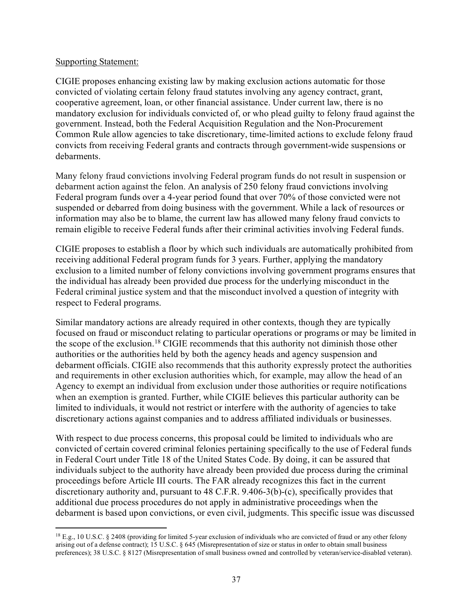#### Supporting Statement:

CIGIE proposes enhancing existing law by making exclusion actions automatic for those convicted of violating certain felony fraud statutes involving any agency contract, grant, cooperative agreement, loan, or other financial assistance. Under current law, there is no mandatory exclusion for individuals convicted of, or who plead guilty to felony fraud against the government. Instead, both the Federal Acquisition Regulation and the Non-Procurement Common Rule allow agencies to take discretionary, time-limited actions to exclude felony fraud convicts from receiving Federal grants and contracts through government-wide suspensions or debarments.

Many felony fraud convictions involving Federal program funds do not result in suspension or debarment action against the felon. An analysis of 250 felony fraud convictions involving Federal program funds over a 4-year period found that over 70% of those convicted were not suspended or debarred from doing business with the government. While a lack of resources or information may also be to blame, the current law has allowed many felony fraud convicts to remain eligible to receive Federal funds after their criminal activities involving Federal funds.

CIGIE proposes to establish a floor by which such individuals are automatically prohibited from receiving additional Federal program funds for 3 years. Further, applying the mandatory exclusion to a limited number of felony convictions involving government programs ensures that the individual has already been provided due process for the underlying misconduct in the Federal criminal justice system and that the misconduct involved a question of integrity with respect to Federal programs.

Similar mandatory actions are already required in other contexts, though they are typically focused on fraud or misconduct relating to particular operations or programs or may be limited in the scope of the exclusion. [18](#page-36-0) CIGIE recommends that this authority not diminish those other authorities or the authorities held by both the agency heads and agency suspension and debarment officials. CIGIE also recommends that this authority expressly protect the authorities and requirements in other exclusion authorities which, for example, may allow the head of an Agency to exempt an individual from exclusion under those authorities or require notifications when an exemption is granted. Further, while CIGIE believes this particular authority can be limited to individuals, it would not restrict or interfere with the authority of agencies to take discretionary actions against companies and to address affiliated individuals or businesses.

With respect to due process concerns, this proposal could be limited to individuals who are convicted of certain covered criminal felonies pertaining specifically to the use of Federal funds in Federal Court under Title 18 of the United States Code. By doing, it can be assured that individuals subject to the authority have already been provided due process during the criminal proceedings before Article III courts. The FAR already recognizes this fact in the current discretionary authority and, pursuant to 48 C.F.R. 9.406-3(b)-(c), specifically provides that additional due process procedures do not apply in administrative proceedings when the debarment is based upon convictions, or even civil, judgments. This specific issue was discussed

<span id="page-36-0"></span><sup>18</sup> E.g., 10 U.S.C. § 2408 (providing for limited 5-year exclusion of individuals who are convicted of fraud or any other felony arising out of a defense contract); 15 U.S.C. § 645 (Misrepresentation of size or status in order to obtain small business preferences); 38 U.S.C. § 8127 (Misrepresentation of small business owned and controlled by veteran/service-disabled veteran).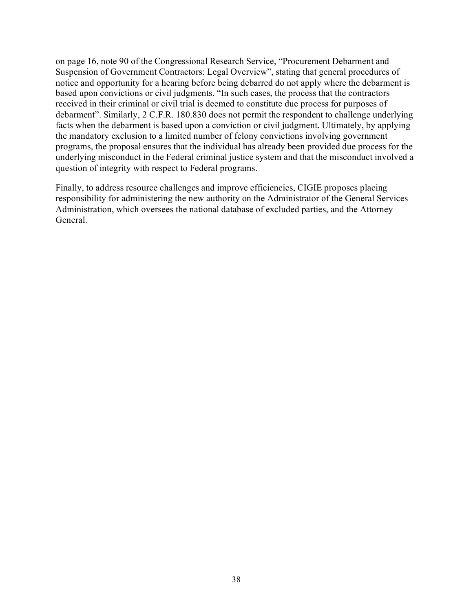on page 16, note 90 of the Congressional Research Service, "Procurement Debarment and Suspension of Government Contractors: Legal Overview", stating that general procedures of notice and opportunity for a hearing before being debarred do not apply where the debarment is based upon convictions or civil judgments. "In such cases, the process that the contractors received in their criminal or civil trial is deemed to constitute due process for purposes of debarment". Similarly, 2 C.F.R. 180.830 does not permit the respondent to challenge underlying facts when the debarment is based upon a conviction or civil judgment. Ultimately, by applying the mandatory exclusion to a limited number of felony convictions involving government programs, the proposal ensures that the individual has already been provided due process for the underlying misconduct in the Federal criminal justice system and that the misconduct involved a question of integrity with respect to Federal programs.

Finally, to address resource challenges and improve efficiencies, CIGIE proposes placing responsibility for administering the new authority on the Administrator of the General Services Administration, which oversees the national database of excluded parties, and the Attorney General.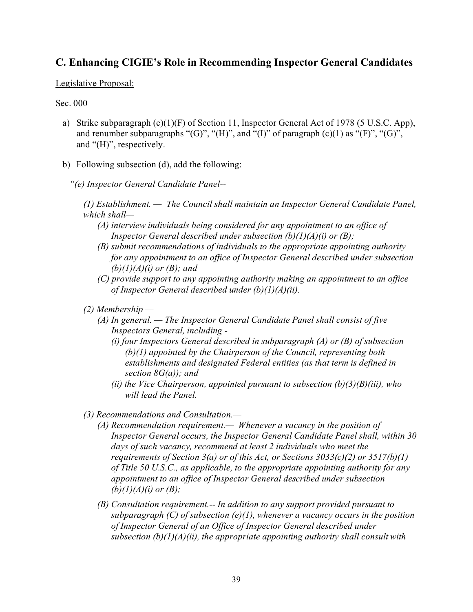## <span id="page-38-0"></span>**C. Enhancing CIGIE's Role in Recommending Inspector General Candidates**

#### Legislative Proposal:

#### Sec. 000

- a) Strike subparagraph (c)(1)(F) of Section 11, Inspector General Act of 1978 (5 U.S.C. App), and renumber subparagraphs " $(G)$ ", " $(H)$ ", and " $(I)$ " of paragraph  $(c)(1)$  as " $(F)$ ", " $(G)$ ", and "(H)", respectively.
- b) Following subsection (d), add the following:
	- *"(e) Inspector General Candidate Panel--*

*(1) Establishment. — The Council shall maintain an Inspector General Candidate Panel, which shall—*

- *(A) interview individuals being considered for any appointment to an office of Inspector General described under subsection (b)(1)(A)(i) or (B);*
- *(B) submit recommendations of individuals to the appropriate appointing authority for any appointment to an office of Inspector General described under subsection (b)(1)(A)(i) or (B); and*
- *(C) provide support to any appointing authority making an appointment to an office of Inspector General described under (b)(1)(A)(ii).*
- *(2) Membership —*
	- *(A) In general. — The Inspector General Candidate Panel shall consist of five Inspectors General, including -*
		- *(i) four Inspectors General described in subparagraph (A) or (B) of subsection (b)(1) appointed by the Chairperson of the Council, representing both establishments and designated Federal entities (as that term is defined in section 8G(a)); and*
		- *(ii) the Vice Chairperson, appointed pursuant to subsection (b)(3)(B)(iii), who will lead the Panel.*
- *(3) Recommendations and Consultation.—*
	- *(A) Recommendation requirement.— Whenever a vacancy in the position of Inspector General occurs, the Inspector General Candidate Panel shall, within 30 days of such vacancy, recommend at least 2 individuals who meet the requirements of Section 3(a) or of this Act, or Sections 3033(c)(2) or 3517(b)(1) of Title 50 U.S.C., as applicable, to the appropriate appointing authority for any appointment to an office of Inspector General described under subsection (b)(1)(A)(i) or (B);*
	- *(B) Consultation requirement.-- In addition to any support provided pursuant to subparagraph (C) of subsection (e)(1), whenever a vacancy occurs in the position of Inspector General of an Office of Inspector General described under subsection (b)(1)(A)(ii), the appropriate appointing authority shall consult with*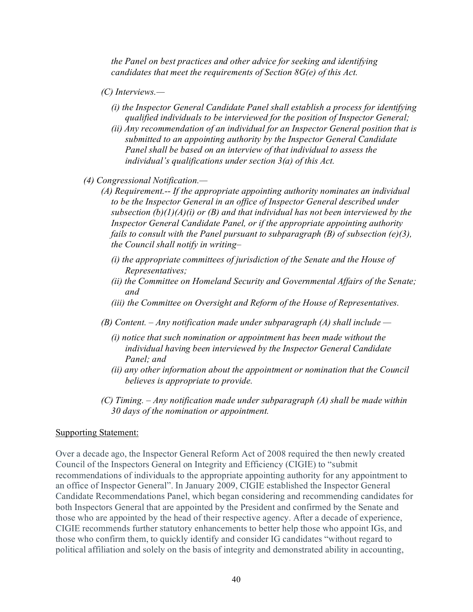*the Panel on best practices and other advice for seeking and identifying candidates that meet the requirements of Section 8G(e) of this Act.*

- *(C) Interviews.—*
	- *(i) the Inspector General Candidate Panel shall establish a process for identifying qualified individuals to be interviewed for the position of Inspector General;*
	- *(ii) Any recommendation of an individual for an Inspector General position that is submitted to an appointing authority by the Inspector General Candidate Panel shall be based on an interview of that individual to assess the individual's qualifications under section 3(a) of this Act.*
- *(4) Congressional Notification.—*
	- *(A) Requirement.-- If the appropriate appointing authority nominates an individual to be the Inspector General in an office of Inspector General described under subsection (b)(1)(A)(i) or (B) and that individual has not been interviewed by the Inspector General Candidate Panel, or if the appropriate appointing authority fails to consult with the Panel pursuant to subparagraph (B) of subsection (e)(3), the Council shall notify in writing–*
		- *(i) the appropriate committees of jurisdiction of the Senate and the House of Representatives;*
		- *(ii) the Committee on Homeland Security and Governmental Affairs of the Senate; and*
		- *(iii) the Committee on Oversight and Reform of the House of Representatives.*
	- *(B) Content. – Any notification made under subparagraph (A) shall include —*
		- *(i) notice that such nomination or appointment has been made without the individual having been interviewed by the Inspector General Candidate Panel; and*
		- *(ii) any other information about the appointment or nomination that the Council believes is appropriate to provide.*
	- *(C) Timing. – Any notification made under subparagraph (A) shall be made within 30 days of the nomination or appointment.*

#### Supporting Statement:

Over a decade ago, the Inspector General Reform Act of 2008 required the then newly created Council of the Inspectors General on Integrity and Efficiency (CIGIE) to "submit recommendations of individuals to the appropriate appointing authority for any appointment to an office of Inspector General". In January 2009, CIGIE established the Inspector General Candidate Recommendations Panel, which began considering and recommending candidates for both Inspectors General that are appointed by the President and confirmed by the Senate and those who are appointed by the head of their respective agency. After a decade of experience, CIGIE recommends further statutory enhancements to better help those who appoint IGs, and those who confirm them, to quickly identify and consider IG candidates "without regard to political affiliation and solely on the basis of integrity and demonstrated ability in accounting,